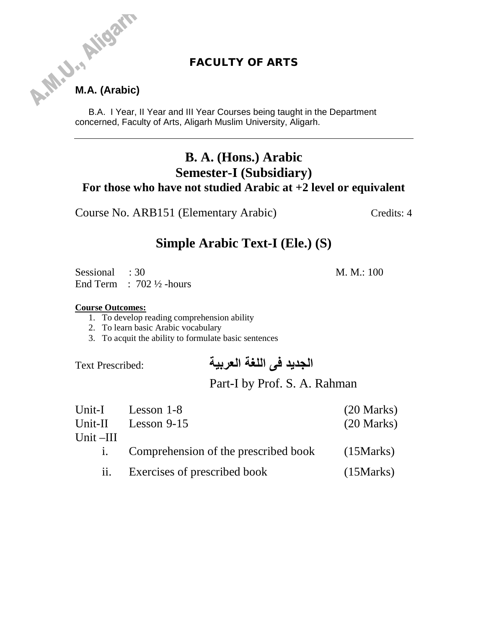## **FACULTY OF ARTS**

# **M.A. Aligar**

B.A. I Year, II Year and III Year Courses being taught in the Department concerned, Faculty of Arts, Aligarh Muslim University, Aligarh.

# **B. A. (Hons.) Arabic Semester-I (Subsidiary) For those who have not studied Arabic at +2 level or equivalent**

Course No. ARB151 (Elementary Arabic) Credits: 4

# **Simple Arabic Text-I (Ele.) (S)**

Sessional : 30 M. M.: 100 End Term : 702 ½ -hours

### **Course Outcomes:**

- 1. To develop reading comprehension ability
- 2. To learn basic Arabic vocabulary
- 3. To acquit the ability to formulate basic sentences

# **الجدید فی اللغة العربیة** :Prescribed Text

# Part-I by Prof. S. A. Rahman

|             | Unit-I Lesson 1-8                       | $(20 \text{ Marks})$ |
|-------------|-----------------------------------------|----------------------|
|             | Unit-II Lesson 9-15                     | $(20 \text{ Marks})$ |
| Unit $-III$ |                                         |                      |
|             | i. Comprehension of the prescribed book | (15Marks)            |
|             | ii. Exercises of prescribed book        | (15Marks)            |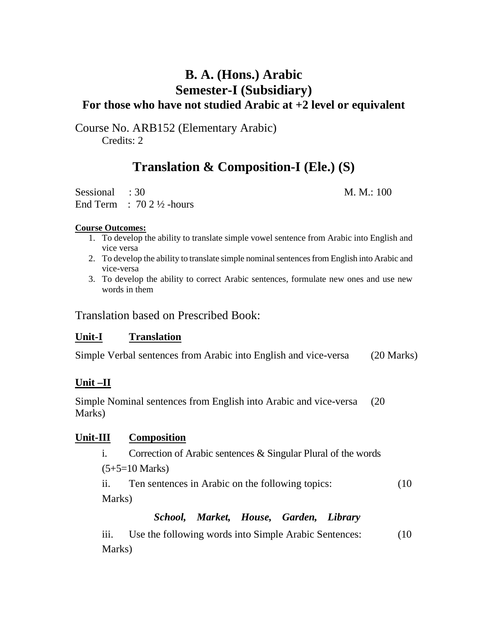# **B. A. (Hons.) Arabic Semester-I (Subsidiary) For those who have not studied Arabic at +2 level or equivalent**

Course No. ARB152 (Elementary Arabic) Credits: 2

# **Translation & Composition-I (Ele.) (S)**

Sessional : 30 M. M.: 100 End Term :  $702\frac{1}{2}$ -hours

### **Course Outcomes:**

- 1. To develop the ability to translate simple vowel sentence from Arabic into English and vice versa
- 2. To develop the ability to translate simple nominal sentences from English into Arabic and vice-versa
- 3. To develop the ability to correct Arabic sentences, formulate new ones and use new words in them

Translation based on Prescribed Book:

### **Unit-I Translation**

Simple Verbal sentences from Arabic into English and vice-versa (20 Marks)

### **Unit –II**

Simple Nominal sentences from English into Arabic and vice-versa (20 Marks)

### **Unit-III Composition**

i. Correction of Arabic sentences & Singular Plural of the words  $(5+5=10 \text{ Marks})$ 

ii. Ten sentences in Arabic on the following topics: (10 Marks)

### *School, Market, House, Garden, Library*

iii. Use the following words into Simple Arabic Sentences: (10) Marks)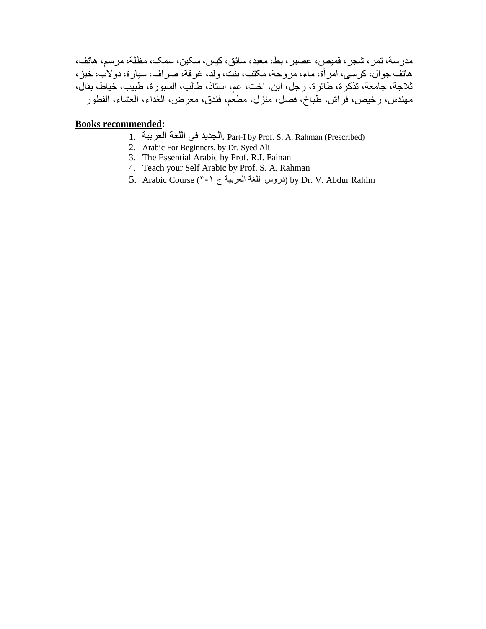مدرسة، تمر، شجر، قمیص، عصیر، بط، معبد، سائق، کیس، سکین، سمک، مظلة، مرسم، ھاتف، ھاتف جوال، کرسی، امرأة، ماء، مروحة، مکتب، بنت، ولد، غرفة، صراف، سیارة، دولاب، خبز، ثلاجة، جامعة، تذکرة، طائرة، رجل، ابن، اخت، عم، استاذ، طالب، السبورة، طبیب، خیاط، بقال، مھندس، رخیص، فراش، طباخ، فصل، منزل، مطعم، فندق، معرض، الغداء، العشاء، الفطور

### **Books recommended:**

- 1. العربیة اللغة فی الجدید. Part-I by Prof. S. A. Rahman (Prescribed)
- 2. Arabic For Beginners, by Dr. Syed Ali
- 3. The Essential Arabic by Prof. R.I. Fainan
- 4. Teach your Self Arabic by Prof. S. A. Rahman
- 5. Arabic Course (٣-١ ج العربیة اللغة دروس (by Dr. V. Abdur Rahim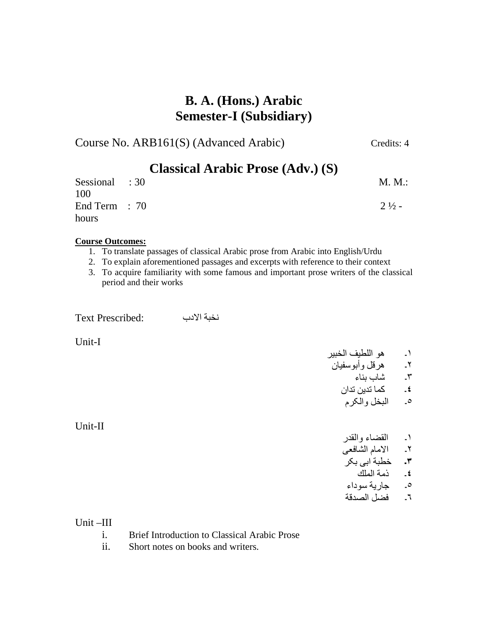# **B. A. (Hons.) Arabic Semester-I (Subsidiary)**

Course No. ARB161(S) (Advanced Arabic) Credits: 4

| <b>Classical Arabic Prose (Adv.) (S)</b> |  |                  |
|------------------------------------------|--|------------------|
| Sessional : 30                           |  | M. M.:           |
| 100                                      |  |                  |
| End Term $: 70$                          |  | $2\frac{1}{2}$ - |
| hours                                    |  |                  |

### **Course Outcomes:**

- 1. To translate passages of classical Arabic prose from Arabic into English/Urdu
- 2. To explain aforementioned passages and excerpts with reference to their context
- 3. To acquire familiarity with some famous and important prose writers of the classical period and their works

نخبة الادب :Prescribed Text

Unit-I

Unit-II

١۔ ھو اللطیف الخبیر

٢۔ ھرقل وأبوسفیان ٣۔ شاب بناء

**٤**۔ کما تدین تدان

٥۔ البخل والکرم

- ١۔ القضاء والقدر
- ٢۔ الامام الشافعی
- **٣۔** خطبة ابی بکر
	- **٤**۔ ذمة الملك
- ٥۔ جاریة سوداء

# ٦۔ فضل الصدقة

Unit –III

- i. Brief Introduction to Classical Arabic Prose
- ii. Short notes on books and writers.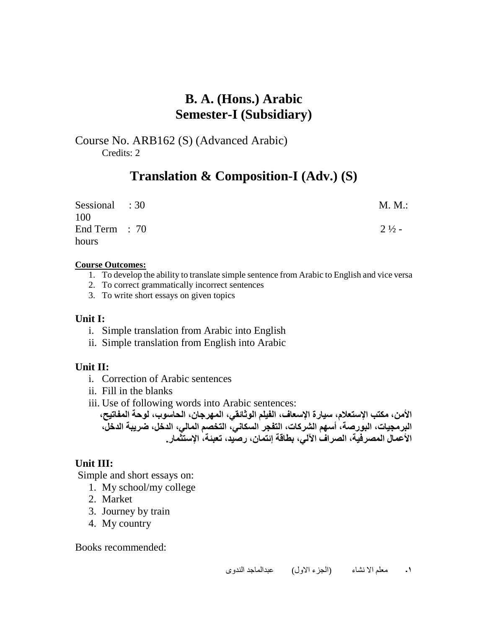# **B. A. (Hons.) Arabic Semester-I (Subsidiary)**

Course No. ARB162 (S) (Advanced Arabic) Credits: 2

# **Translation & Composition-I (Adv.) (S)**

| Sessional : 30  | M. M.:           |
|-----------------|------------------|
| 100             |                  |
| End Term $: 70$ | $2\frac{1}{2}$ - |
| hours           |                  |

### **Course Outcomes:**

- 1. To develop the ability to translate simple sentence from Arabic to English and vice versa
- 2. To correct grammatically incorrect sentences
- 3. To write short essays on given topics

### **Unit I:**

- i. Simple translation from Arabic into English
- ii. Simple translation from English into Arabic

### **Unit II:**

- i. Correction of Arabic sentences
- ii. Fill in the blanks
- iii. Use of following words into Arabic sentences:

**الأمن، مكتب الإستعلام، سیارة الإسعاف، الفیلم الوثائقي، المھرجان، الحاسوب، لوحة المفاتیح، البرمجیات، البورصة، أسھم الشركات، التفجر السكاني، التخصم المالي، الدخل، ضریبة الدخل، الأعمال المصرفیة، الصراف الآلي، بطاقة إئتمان، رصید، تعبئة، الإستثمار.**

### **Unit III:**

Simple and short essays on:

- 1. My school/my college
- 2. Market
- 3. Journey by train
- 4. My country

Books recommended:

**١۔** معلم الا نشاء (الجزء الاول) عبدالماجد الندوی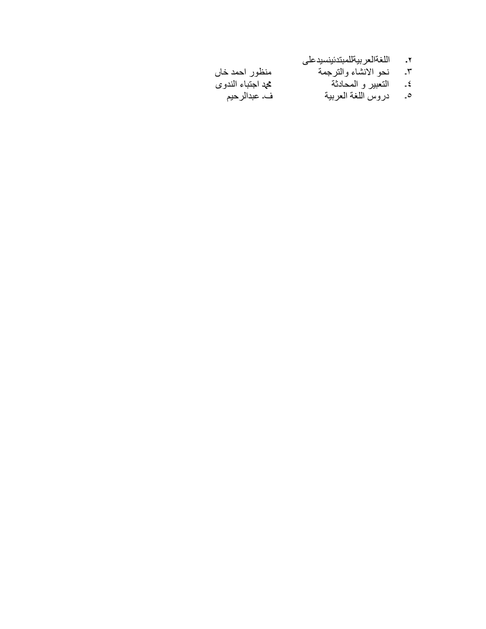- بیةللمبتدئینسیدعلی اللغةالعر **۔ ٢**
- منظور احمد خاں نحو الانشاء والترجمة ۔ ٣
	- التعبیر و المحادثة ۔ ٤
		- ه \_\_\_\_ دروس اللغة العربية
- محد اجتباء الندوي
	- ف۔ عبدالرحیم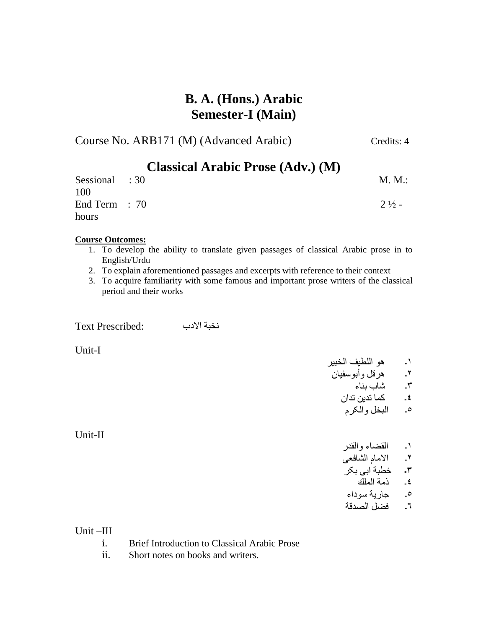# **B. A. (Hons.) Arabic Semester-I (Main)**

Course No. ARB171 (M) (Advanced Arabic) Credits: 4

| <b>Classical Arabic Prose (Adv.) (M)</b> |  |                  |
|------------------------------------------|--|------------------|
| Sessional : 30                           |  | M. M.:           |
| 100<br>End Term $: 70$                   |  | $2\frac{1}{2}$ - |
| hours                                    |  |                  |

### **Course Outcomes:**

- 1. To develop the ability to translate given passages of classical Arabic prose in to English/Urdu
- 2. To explain aforementioned passages and excerpts with reference to their context
- 3. To acquire familiarity with some famous and important prose writers of the classical period and their works

نخبة الادب :Prescribed Text

Unit-I

Unit-II

- ١۔ ھو اللطیف الخبیر ٢۔ ھرقل وأبوسفیان
	- ٣۔ شاب بناء
	- **٤**۔ کما تدین تدان ٥۔ البخل والکرم
		- ١۔ القضاء والقدر
	- ٢۔ الامام الشافعی
	- **٣۔** خطبة ابی بکر
	- **٤**۔ ذمة الملك ٥۔ جاریة سوداء
	- ٦۔ فضل الصدقة

Unit –III

- i. Brief Introduction to Classical Arabic Prose
- ii. Short notes on books and writers.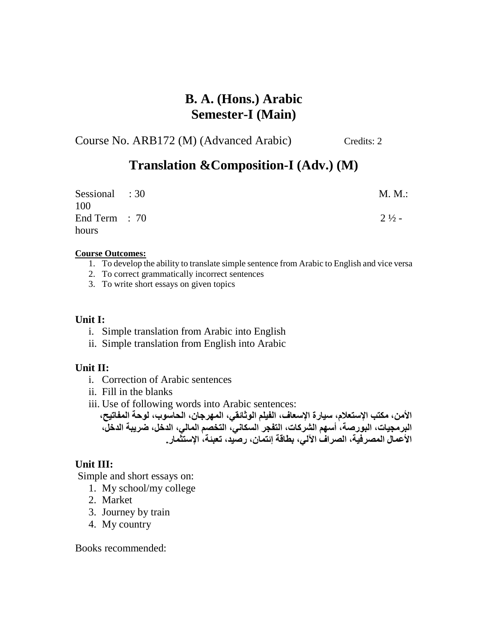# **B. A. (Hons.) Arabic Semester-I (Main)**

Course No. ARB172 (M) (Advanced Arabic) Credits: 2

# **Translation &Composition-I (Adv.) (M)**

| Sessional : 30<br>100 | M. M.:           |
|-----------------------|------------------|
| End Term $: 70$       | $2\frac{1}{2}$ - |
| hours                 |                  |

### **Course Outcomes:**

- 1. To develop the ability to translate simple sentence from Arabic to English and vice versa
- 2. To correct grammatically incorrect sentences
- 3. To write short essays on given topics

### **Unit I:**

- i. Simple translation from Arabic into English
- ii. Simple translation from English into Arabic

### **Unit II:**

- i. Correction of Arabic sentences
- ii. Fill in the blanks
- iii. Use of following words into Arabic sentences:

**الأمن، مكتب الإستعلام، سیارة الإسعاف، الفیلم الوثائقي، المھرجان، الحاسوب، لوحة المفاتیح، البرمجیات، البورصة، أسھم الشركات، التفجر السكاني، التخصم المالي، الدخل، ضریبة الدخل، الأعمال المصرفیة، الصراف الآلي، بطاقة إئتمان، رصید، تعبئة، الإستثمار.**

### **Unit III:**

Simple and short essays on:

- 1. My school/my college
- 2. Market
- 3. Journey by train
- 4. My country

Books recommended: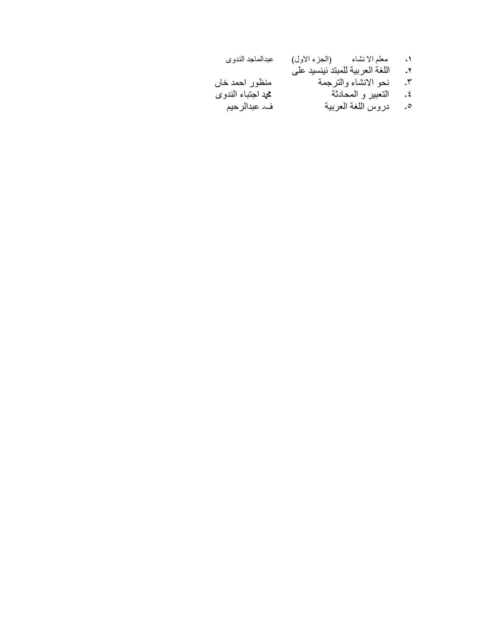| عبدالماجد الندوى  | معلم الانشاء         (الجزء الاول) | $\cdot$                  |
|-------------------|------------------------------------|--------------------------|
|                   | اللغة العربية للمبتد ئينسيد على    | ۰۲.                      |
| منظور احمد خاں    | نحو الانشاء والترجمة               | ٣.                       |
| محد اجتباء الندوي | التعبير و المحادثة                 | $-\epsilon$              |
| ف۔ عبدالر حیم     | دروس اللغة العربية                 | $\overline{\phantom{a}}$ |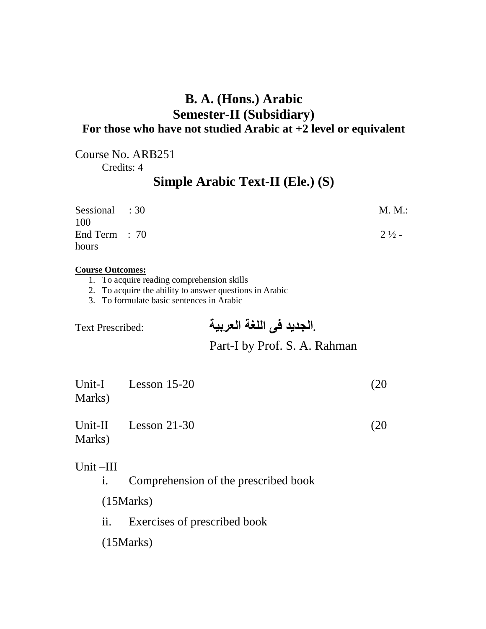# **B. A. (Hons.) Arabic Semester-II (Subsidiary) For those who have not studied Arabic at +2 level or equivalent**

Course No. ARB251

Credits: 4

# **Simple Arabic Text-II (Ele.) (S)**

| Sessional : 30  | M. M.:           |
|-----------------|------------------|
| 100             |                  |
| End Term $: 70$ | $2\frac{1}{2}$ - |
| hours           |                  |

### **Course Outcomes:**

- 1. To acquire reading comprehension skills
- 2. To acquire the ability to answer questions in Arabic
- 3. To formulate basic sentences in Arabic

 **.الجدید فی اللغة العربیة** :Prescribed Text

# Part-I by Prof. S. A. Rahman

| Marks)      | Unit-I Lesson 15-20    | (20  |
|-------------|------------------------|------|
| Marks)      | Unit-II Lesson $21-30$ | (20) |
| Unit $-III$ |                        |      |

i. Comprehension of the prescribed book

(15Marks)

ii. Exercises of prescribed book

(15Marks)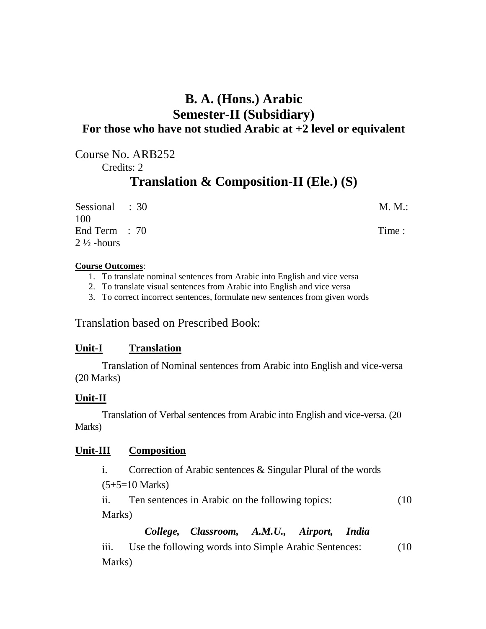# **B. A. (Hons.) Arabic Semester-II (Subsidiary) For those who have not studied Arabic at +2 level or equivalent**

Course No. ARB252 Credits: 2

# **Translation & Composition-II (Ele.) (S)**

| Sessional : 30        | M. M.: |
|-----------------------|--------|
| 100                   |        |
| End Term $: 70$       | Time:  |
| $2\frac{1}{2}$ -hours |        |

### **Course Outcomes**:

- 1. To translate nominal sentences from Arabic into English and vice versa
- 2. To translate visual sentences from Arabic into English and vice versa
- 3. To correct incorrect sentences, formulate new sentences from given words

Translation based on Prescribed Book:

### **Unit-I Translation**

Translation of Nominal sentences from Arabic into English and vice-versa (20 Marks)

### **Unit-II**

Translation of Verbal sentences from Arabic into English and vice-versa. (20) Marks)

### **Unit-III Composition** Unit-III

i. Correction of Arabic sentences & Singular Plural of the words

(5+5=10 Marks)

ii. Ten sentences in Arabic on the following topics: (10 Marks)

*College, Classroom, A.M.U., Airport, India* 

iii. Use the following words into Simple Arabic Sentences: (10) Marks)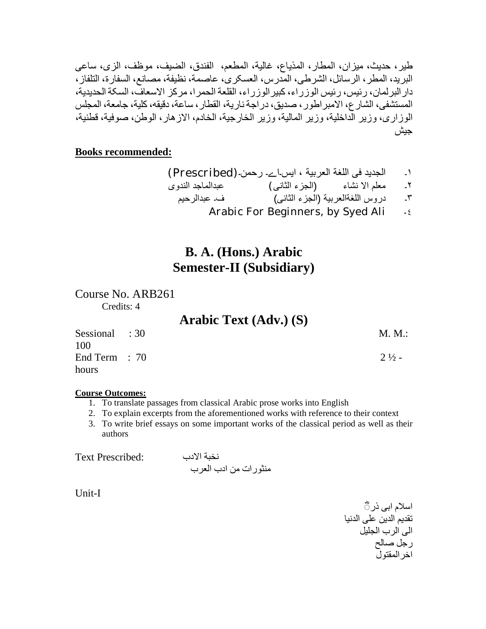طیر، حدیث، میزان، المطار، المذیاع، غالیة، المطعم، الفندق، الضیف، موظف، الزی، ساعی البرید، المطر، الرسائل، الشرطی، المدرس، العسکری، عاصمة، نظیفة، مصانع، السفارة، التلفاز، دارالبرلمان، رئیس، رئیس الوزراء، کبیرالوزراء، القلعة الحمرا، مرکز الاسعاف، السکة الحدیدیة، المستشفی، الشارع، الامبراطور، صدیق، دراجة ناریة، القطار، ساعة، دقیقھ،کلیة، جامعة، المجلس الوزاری، وزیر الداخلیة، وزیر المالیة، وزیر الخارجیة، الخادم، الازھار، الوطن، صوفیة، قطنیة، جیش

### **Books recommended:**

١۔ الجدید فی اللغة العربیة ، ایس۔اے۔ رحمن۔(Prescribed ( ٢۔ معلم الا نشاء (الجزء الثانی) عبدالماجد الندوی ٣۔ دروس اللغةالعربیة (الجزء الثانی) ف۔ عبدالرحیم Arabic For Beginners, by Syed Ali  $\frac{1}{2}$ 

# **B. A. (Hons.) Arabic Semester-II (Subsidiary)**

Course No. ARB261 Credits: 4

|                       | <b>Arabic Text (Adv.) (S)</b> |                  |
|-----------------------|-------------------------------|------------------|
| Sessional : 30<br>100 |                               | M. M.:           |
| End Term $: 70$       |                               | $2\frac{1}{2}$ – |
| hours                 |                               |                  |

### **Course Outcomes:**

- 1. To translate passages from classical Arabic prose works into English
- 2. To explain excerpts from the aforementioned works with reference to their context
- 3. To write brief essays on some important works of the classical period as well as their authors

نخبة الادب :Prescribed Text منثورات من ادب العرب

Unit-I

اسلام ابی ذر ہ تقدیم الدین علی الدنیا الی الرب الجلیل رجل صالح اخرالمقتول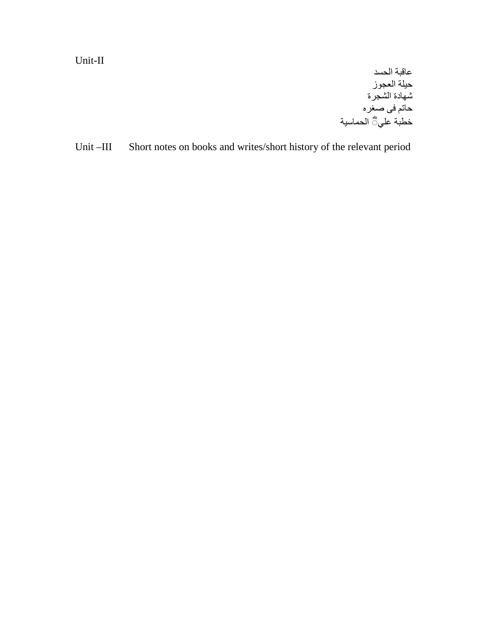Unit-II

عاقبة الحسد حیلة العجوز شھادة الشجرة حاتم فی صغره خطبة علي ؓ الحماسية

Unit –III Short notes on books and writes/short history of the relevant period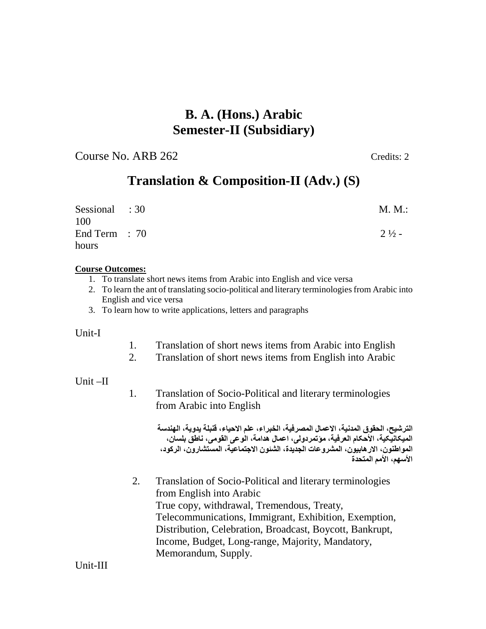# **B. A. (Hons.) Arabic Semester-II (Subsidiary)**

Course No. ARB 262 Credits: 2

# **Translation & Composition-II (Adv.) (S)**

| Sessional : 30<br>100 | M. M.:           |
|-----------------------|------------------|
| End Term $: 70$       | $2\frac{1}{2}$ - |
| hours                 |                  |

### **Course Outcomes:**

- 1. To translate short news items from Arabic into English and vice versa
- 2. To learn the ant of translating socio-political and literary terminologiesfrom Arabic into English and vice versa
- 3. To learn how to write applications, letters and paragraphs

### Unit-I

- 1. Translation of short news items from Arabic into English
- 2. Translation of short news items from English into Arabic

### Unit –II

1. Translation of Socio-Political and literary terminologies from Arabic into English

> **الترشیح، الحقوق المدنیة، الاعمال المصرفیة، الخبراء، علم الاحیاء، قنبلة یدویة، الھندسة المیکانیکیة، الأحکام العرفیة، مؤتمردولی، اعمال ھدامة، الوعی القومی، ناطق بلسان، المواطنون، الارھابیون، المشروعات الجدیدة، الشئون الاجتماعیة، المستشارون، الرکود، الأسھم، الأمم المتحدة**

2. Translation of Socio-Political and literary terminologies from English into Arabic True copy, withdrawal, Tremendous, Treaty, Telecommunications, Immigrant, Exhibition, Exemption, Distribution, Celebration, Broadcast, Boycott, Bankrupt, Income, Budget, Long-range, Majority, Mandatory, Memorandum, Supply.

Unit-III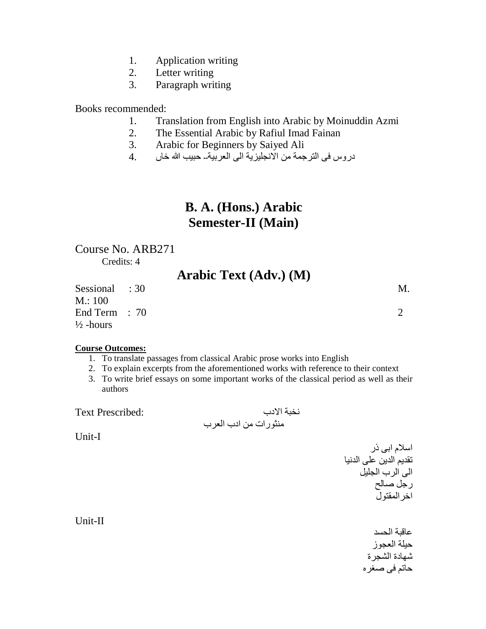- 1. Application writing
- 2. Letter writing
- 3. Paragraph writing

### Books recommended:

- 1. Translation from English into Arabic by Moinuddin Azmi
- 2. The Essential Arabic by Rafiul Imad Fainan
- 3. Arabic for Beginners by Saiyed Ali
- دروس فی الترجمة من الانجلیزیة الی العربیة۔۔ حبیب الله خاں 4.

# **B. A. (Hons.) Arabic Semester-II (Main)**

### Course No. ARB271 Credits: 4

**Arabic Text (Adv.) (M)** 

Sessional : 30 M. M.: 100 End Term : 70 2  $\frac{1}{2}$ -hours

- **Course Outcomes:** 1. To translate passages from classical Arabic prose works into English
	- 2. To explain excerpts from the aforementioned works with reference to their context
	- 3. To write brief essays on some important works of the classical period as well as their authors

 نخبة الادب :Prescribed Text منثورات من ادب العرب

Unit-I

اسلام ابی ذر تقدیم الدین علی الدنیا الی الرب الجلیل رجل صالح اخرالمقتول

عاقبة الحسد حیلة العجوز شھادة الشجرة حاتم فی صغره

Unit-II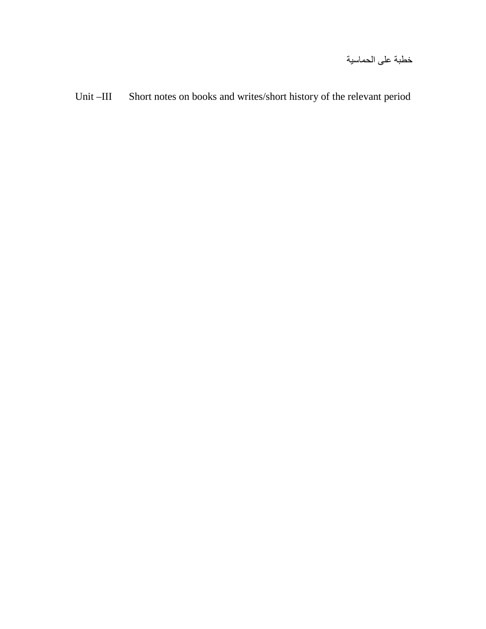Unit –III Short notes on books and writes/short history of the relevant period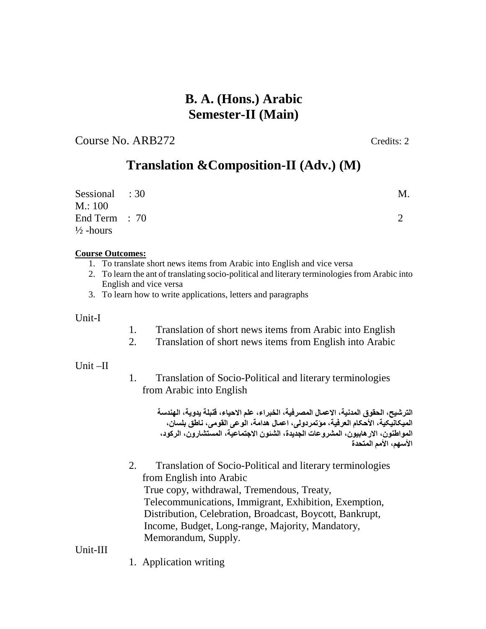# **B. A. (Hons.) Arabic Semester-II (Main)**

Course No. ARB272 Credits: 2

# **Translation &Composition-II (Adv.) (M)**

| Sessional : 30<br>M: 100                | M. |
|-----------------------------------------|----|
| End Term $: 70$<br>$\frac{1}{2}$ -hours |    |

### **Course Outcomes:**

- 1. To translate short news items from Arabic into English and vice versa
- 2. To learn the ant of translating socio-political and literary terminologiesfrom Arabic into English and vice versa
- 3. To learn how to write applications, letters and paragraphs

### Unit-I

- 1. Translation of short news items from Arabic into English
- 2. Translation of short news items from English into Arabic

### Unit –II

1. Translation of Socio-Political and literary terminologies from Arabic into English

> **الترشیح، الحقوق المدنیة، الاعمال المصرفیة، الخبراء، علم الاحیاء، قنبلة یدویة، الھندسة المیکانیکیة، الأحکام العرفیة، مؤتمردولی، اعمال ھدامة، الوعی القومی، ناطق بلسان، المواطنون، الارھابیون، المشروعات الجدیدة، الشئون الاجتماعیة، المستشارون، الرکود، الأسھم، الأمم المتحدة**

2. Translation of Socio-Political and literary terminologies from English into Arabic True copy, withdrawal, Tremendous, Treaty, Telecommunications, Immigrant, Exhibition, Exemption, Distribution, Celebration, Broadcast, Boycott, Bankrupt, Income, Budget, Long-range, Majority, Mandatory, Memorandum, Supply.

### Unit-III

1. Application writing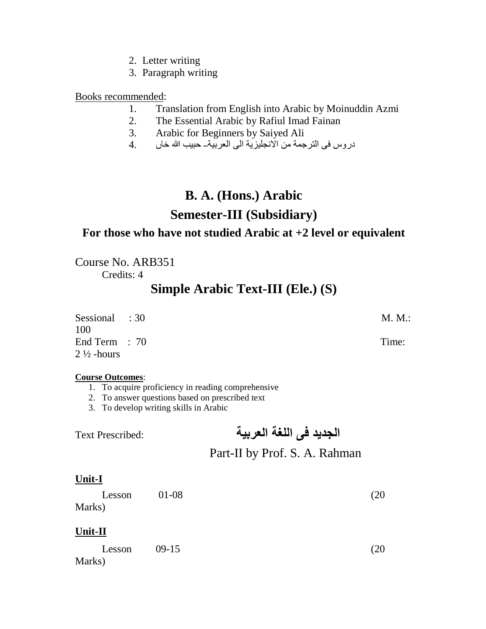- 2. Letter writing
- 3. Paragraph writing

### Books recommended:

- 1. Translation from English into Arabic by Moinuddin Azmi
- 2. The Essential Arabic by Rafiul Imad Fainan
- 3. Arabic for Beginners by Saiyed Ali
- دروس فی الترجمة من الانجلیزیة الی العربیة۔۔ حبیب الله خاں 4.

# **B. A. (Hons.) Arabic**

# **Semester-III (Subsidiary)**

### **For those who have not studied Arabic at +2 level or equivalent**

Course No. ARB351 Credits: 4

# **Simple Arabic Text-III (Ele.) (S)**

| Sessional : 30<br>100 | M. M.: |
|-----------------------|--------|
| End Term $: 70$       | Time:  |
| $2\frac{1}{2}$ -hours |        |

### **Course Outcomes**:

- 1. To acquire proficiency in reading comprehensive
- 2. To answer questions based on prescribed text
- 3. To develop writing skills in Arabic

# **الجدید فی اللغة العربیة** :Prescribed Text

# Part-II by Prof. S. A. Rahman

### **Unit-I**

| Lesson | 01-08 | (20) |
|--------|-------|------|
| Marks) |       |      |

### **Unit-II**

 $Lesson$  09-15 (20) Marks)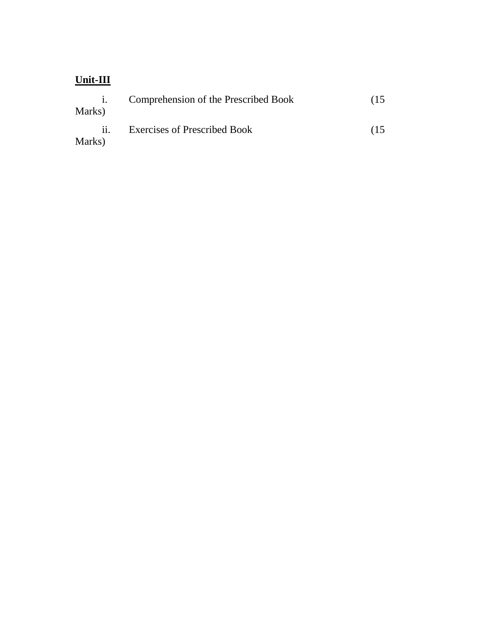# **Unit-III**

| Marks) | Comprehension of the Prescribed Book | $(15^{-}$ |
|--------|--------------------------------------|-----------|
| Marks) | <b>Exercises of Prescribed Book</b>  | (15)      |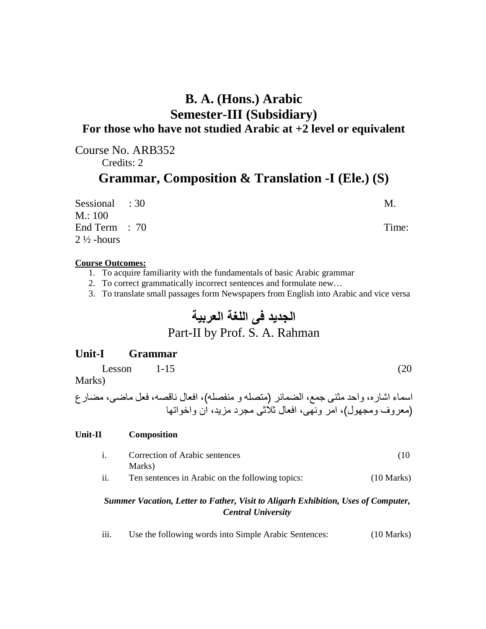# **B. A. (Hons.) Arabic Semester-III (Subsidiary) For those who have not studied Arabic at +2 level or equivalent**

Course No. ARB352 Credits: 2 **Grammar, Composition & Translation -I (Ele.) (S)** 

Sessional : 30 M. M.: 100 End Term : 70 Time:  $2\frac{1}{2}$ -hours

### **Course Outcomes:**

- 1. To acquire familiarity with the fundamentals of basic Arabic grammar
- 2. To correct grammatically incorrect sentences and formulate new…
- 3. To translate small passages form Newspapers from English into Arabic and vice versa

# **الجدید فی اللغة العربیة** Part-II by Prof. S. A. Rahman

### **Unit-I Grammar**

 $Lesson$  1-15 (20)

Marks)

اسماء اشاره، واحد مثنی جمع، الضمائر (متصلھ و منفصلھ)، افعال ناقصھ، فعل ماضی، مضارع (معروف ومجھول)، امر ونھی، افعال ثلاثی مجرد مزید، ان واخواتھا

### **Unit-II Composition**

- i. Correction of Arabic sentences (10 Marks)
- ii. Ten sentences in Arabic on the following topics: (10 Marks)

### *Summer Vacation, Letter to Father, Visit to Aligarh Exhibition, Uses of Computer, Central University*

iii. Use the following words into Simple Arabic Sentences: (10 Marks)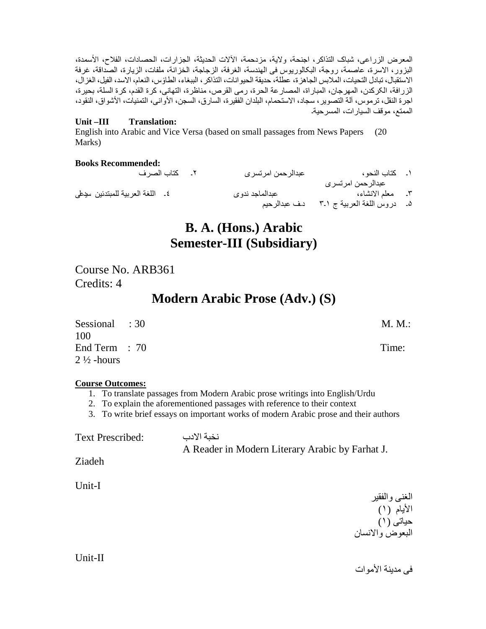المعرض الزراعی، شباک التذاکر، اجنحة، ولایة، مزدحمة، ٓ الالات الحدیثة، الجزارات، الحصادات، الفلاح، ٔ الاسمدة، البزور، الاسرة، عاصمة، روجة، البکالوریوس فی الھندسة، الغرفة، الزجاجة، الخزانة، ملفات، الزیارة، الصداقة، غرفة الاستقبال، تبادل التحیات، الملابس الجاھزة، عطلة، حدیقة الحیوانات، التذاکر، الببغاء، الطأوس، النعام، الاسد، الفیل، الغزال، الزرافة، الکرکدن، المھرجان، المباراة، المصارعة الحرة، رمی القرص، مناظرة، التھانی، کرة القدم، کرة السلة، بحیرة، اجرة النقل، ترموس، آلة التصویر، سجاد، الاستحمام، البلدان الفقیرة، السارق، السجن، الأوانی، التمنیات، ٔ الاشواق، النقود، الممتع، موقف السیارات، المسرحیة۔

### **Unit –III Translation:**

English into Arabic and Vice Versa (based on small passages from News Papers (20 Marks)

### **Books Recommended:**

| ٢. كتاب الصرف                   | عبدالرحمن امرتسرى              | ١. كتاب النحو ،                                                      |  |
|---------------------------------|--------------------------------|----------------------------------------------------------------------|--|
| ٤. اللغة العربية للمبتدئين سيطى | عبدالماجد ندوى<br>دف عبدالرحيم | عبدالرحمن امرتسرى<br>٣. معلم الانشاء،<br>۵ـ دروس اللغة العربية ج ٢ـ٣ |  |
|                                 |                                |                                                                      |  |

# **B. A. (Hons.) Arabic Semester-III (Subsidiary)**

Course No. ARB361 Credits: 4

# **Modern Arabic Prose (Adv.) (S)**

| Sessional : 30<br>100                    | M. M.: |
|------------------------------------------|--------|
| End Term $: 70$<br>$2\frac{1}{2}$ -hours | Time:  |

### **Course Outcomes:**

- 1. To translate passages from Modern Arabic prose writings into English/Urdu
- 2. To explain the aforementioned passages with reference to their context

3. To write brief essays on important works of modern Arabic prose and their authors

| <b>Text Prescribed:</b> | نخبة الادب                                      |
|-------------------------|-------------------------------------------------|
|                         | A Reader in Modern Literary Arabic by Farhat J. |
|                         |                                                 |

Ziadeh

Unit-I

الغنی والفقیر الأیام (١) حیاتی (١) البعوض والانسان

Unit-II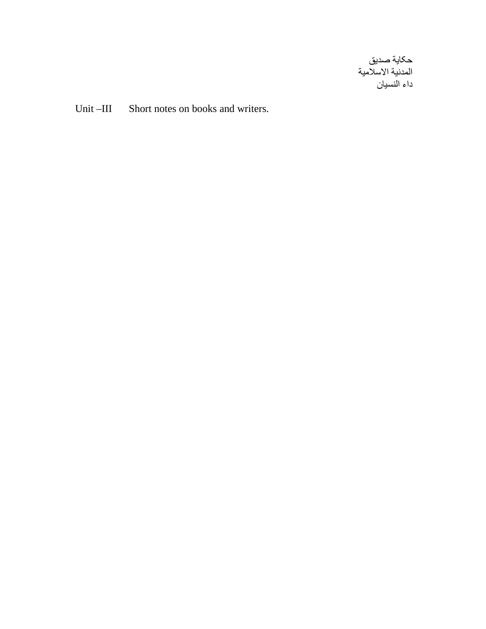صدیق یة حکا المدنية الاسلامية داء النسیان

Unit-III Sh ort notes on books and writers.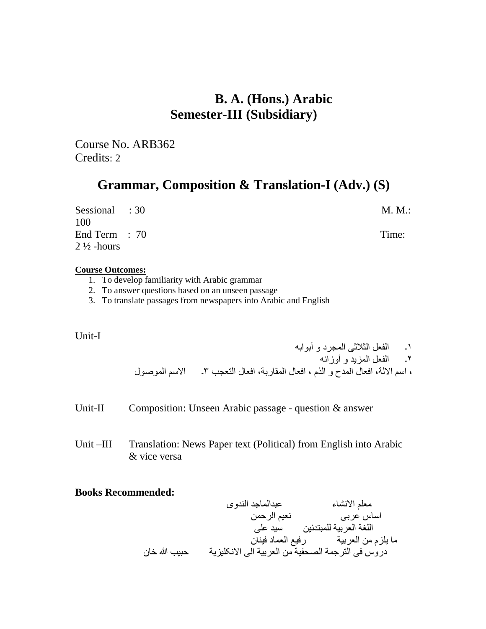# **B. A. (Hons.) Arabic Semester-III (Subsidiary)**

Course No. ARB362 Credits: 2

# **Grammar, Composition & Translation-I (Adv.) (S)**

| Sessional : 30<br>100                    | M. M.: |
|------------------------------------------|--------|
| End Term $: 70$<br>$2\frac{1}{2}$ -hours | Time:  |

### **Course Outcomes:**

- 1. To develop familiarity with Arabic grammar
- 2. To answer questions based on an unseen passage
- 3. To translate passages from newspapers into Arabic and English

### Unit-I

١۔ الفعل الثلاثی المجرد و أبوابھ ٢۔ الفعل المزید و أوزانھ ، اسم الالة، افعال المدح و الذم ، افعال المقاربة، افعال التعجب ٣۔ الاسم الموصول

- Unit-II Composition: Unseen Arabic passage question & answer
- Unit –III Translation: News Paper text (Political) from English into Arabic & vice versa

### **Books Recommended:**

 معلم الانشاء عبدالماجد الندوی اساس عربی نعیم الرحمن اللغة العربیة للمبتدئین سید علی ما یلزم من العربیة رفیع العماد فینان دروس فی الترجمة الصحفیة من العربیة الی الانکلیزیة حبیب الله خان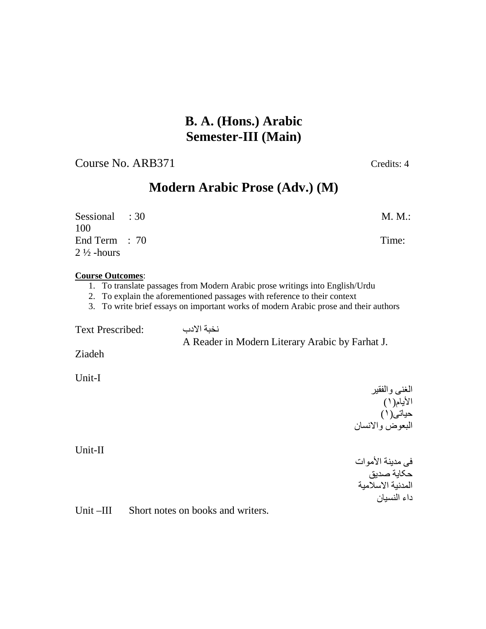# **B. A. (Hons.) Arabic Semester-III (Main)**

Course No. ARB371 Credits: 4

# **Modern Arabic Prose (Adv.) (M)**

| Sessional : 30<br>100                    | M. M.: |
|------------------------------------------|--------|
| End Term $: 70$<br>$2\frac{1}{2}$ -hours | Time:  |

### **Course Outcomes**:

- 1. To translate passages from Modern Arabic prose writings into English/Urdu
- 2. To explain the aforementioned passages with reference to their context
- 3. To write brief essays on important works of modern Arabic prose and their authors

نخبة الادب :Prescribed Text

A Reader in Modern Literary Arabic by Farhat J.

Ziadeh

Unit-I

الغنی والفقیر الأیام(١) حیاتی(١) البعوض والانسان

Unit-II

فی مدینة الأموات حکایة صدیق المدنیة الاسلامیة داء النسیان

Unit –III Short notes on books and writers.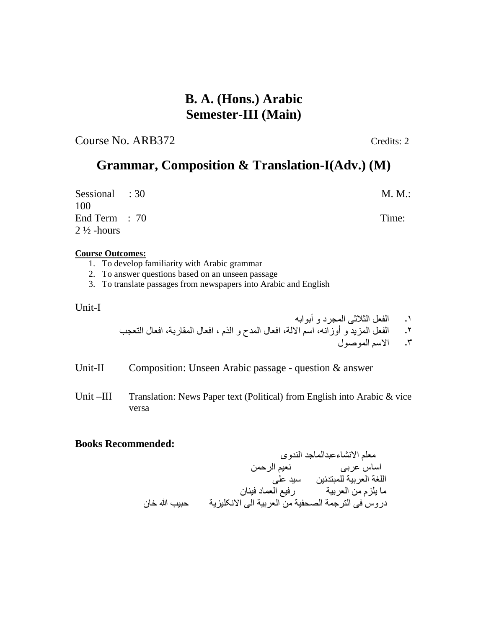# **B. A. (Hons.) Arabic Semester-III (Main)**

Course No. ARB372 Credits: 2

# **Grammar, Composition & Translation-I(Adv.) (M)**

Sessional : 30 M.M.: 100 End Term : 70 Time:  $2\frac{1}{2}$ -hours

### **Course Outcomes:**

- 1. To develop familiarity with Arabic grammar
- 2. To answer questions based on an unseen passage
- 3. To translate passages from newspapers into Arabic and English

Unit-I

- ١۔ الفعل الثلاثی المجرد و أبوابھ
- ٢۔ الفعل المزید و أوزانھ، اسم الالة، افعال المدح و الذم ، افعال المقاربة، افعال التعجب
	- ٣۔ الاسم الموصول

Unit-II Composition: Unseen Arabic passage - question & answer

Unit –III Translation: News Paper text (Political) from English into Arabic & vice versa

### **Books Recommended:**

 معلم الانشاءعبدالماجد الندوی اساس عربی نعیم الرحمن اللغة العربیة للمبتدئین سید علی ما یلزم من العربیة رفیع العماد فینان دروس فی الترجمة الصحفیة من العربیة الی الانکلیزیة حبیب الله خان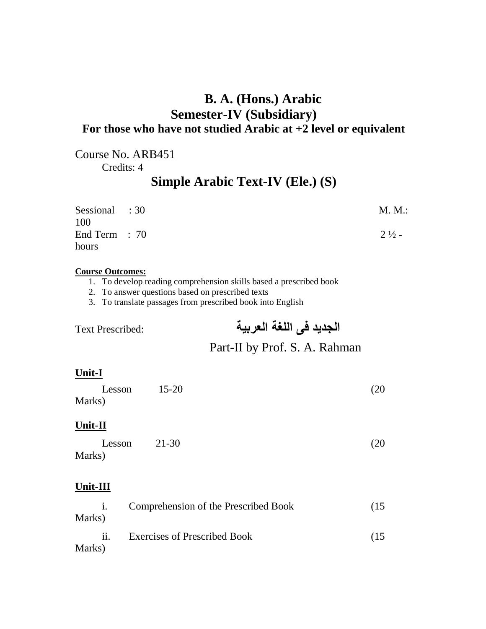# **B. A. (Hons.) Arabic Semester-IV (Subsidiary) For those who have not studied Arabic at +2 level or equivalent**

Course No. ARB451

Credits: 4

# **Simple Arabic Text-IV (Ele.) (S)**

| Sessional : 30         | M. M.:           |
|------------------------|------------------|
| 100<br>End Term $: 70$ | $2\frac{1}{2}$ - |
| hours                  |                  |

### **Course Outcomes:**

- 1. To develop reading comprehension skills based a prescribed book
- 2. To answer questions based on prescribed texts

3. To translate passages from prescribed book into English

**الجدید فی اللغة العربیة** :Prescribed Text

# Part-II by Prof. S. A. Rahman

### **Unit-I**

| Lesson | $15 - 20$ | (20) |
|--------|-----------|------|
| Marks) |           |      |

### **Unit-II**

| Lesson | 21-30 | (20) |
|--------|-------|------|
| Marks) |       |      |

### **Unit-III**

|        | Comprehension of the Prescribed Book | $(15^{-}$ |
|--------|--------------------------------------|-----------|
| Marks) |                                      |           |
|        | <b>Exercises of Prescribed Book</b>  | $(15^{-}$ |
| Marks) |                                      |           |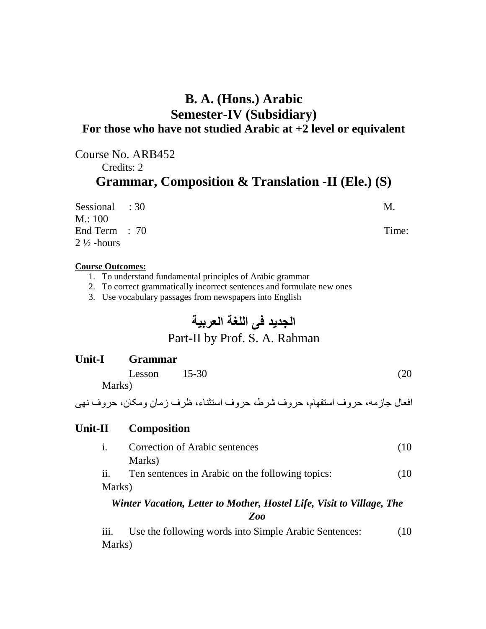# **B. A. (Hons.) Arabic Semester-IV (Subsidiary) For those who have not studied Arabic at +2 level or equivalent**

# Course No. ARB452 Credits: 2 **Grammar, Composition & Translation -II (Ele.) (S)**

| Sessional : 30        | M.    |
|-----------------------|-------|
| M: 100                |       |
| End Term $: 70$       | Time: |
| $2\frac{1}{2}$ -hours |       |

### **Course Outcomes:**

- 1. To understand fundamental principles of Arabic grammar
- 2. To correct grammatically incorrect sentences and formulate new ones
- 3. Use vocabulary passages from newspapers into English

# **الجدید فی اللغة العربیة**

# Part-II by Prof. S. A. Rahman

# **Unit-I Grammar**

| Lesson $15-30$ | (20) |
|----------------|------|
| Marks)         |      |

افعال جازمھ، حروف استفھام، حروف شرط، حروف استثناء، ظرف زمان ومکان، حروف نھی

### **Unit-II Composition**

i. Correction of Arabic sentences (10 Marks)

ii. Ten sentences in Arabic on the following topics: (10 Marks)

### *Winter Vacation, Letter to Mother, Hostel Life, Visit to Village, The Zoo*

iii. Use the following words into Simple Arabic Sentences: (10) Marks)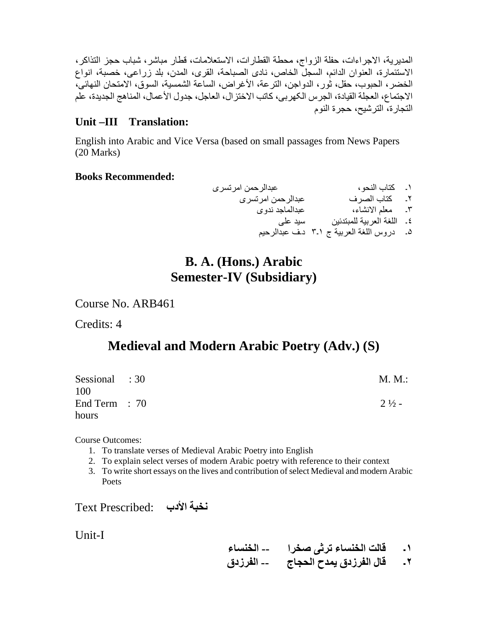المدیریة، الاجراءات، حفلة الزواج، محطة القطارات، الاستعلامات، قطار مباشر، شباب حجز التذاکر، الاستئمارة، العنوان الدائم، السجل الخاص، نادی الصباحة، القری، المدن، بلد زراعی، خصبة، انواع الخضر، الحبوب، حقل، ثور، الدواجن، الترعة، الأغراض، الساعة الشمسیة، السوق، الامتحان النھائی، الاجتماع، العجلة القیادة، الجرس الکھربی، کاتب الاختزال، العاجل، جدول الأعمال، المناھج الجدیدة، علم التجارة، الترشیح، حجرة النوم

### **Unit –III Translation:**

English into Arabic and Vice Versa (based on small passages from News Papers (20 Marks)

### **Books Recommended:**

١۔ کتاب النحو، عبدالرحمن امرتسری ٢۔ کتاب الصرف عبدالرحمن امرتسری ٣۔ معلم الانشاء، عبدالماجد ندوی ٤۔ اللغة العربیة للمبتدئین سید علی ۵۔ دروس اللغة العربیة ج ١۔٣ د۔ف عبدالرحیم

# **B. A. (Hons.) Arabic Semester-IV (Subsidiary)**

Course No. ARB461

Credits: 4

# **Medieval and Modern Arabic Poetry (Adv.) (S)**

| Sessional : 30<br>100 | M. M.:           |
|-----------------------|------------------|
| End Term $: 70$       | $2\frac{1}{2}$ - |
| hours                 |                  |

Course Outcomes:

- 1. To translate verses of Medieval Arabic Poetry into English
- 2. To explain select verses of modern Arabic poetry with reference to their context
- 3. To write short essays on the lives and contribution ofselect Medieval and modern Arabic Poets

**نخبة الأدب** :Prescribed Text

Unit-I

- **١۔ قالت الخنساء ترثی صخرا -- الخنساء**
- **٢۔ قال الفرزدق یمدح الحجاج -- الفرزدق**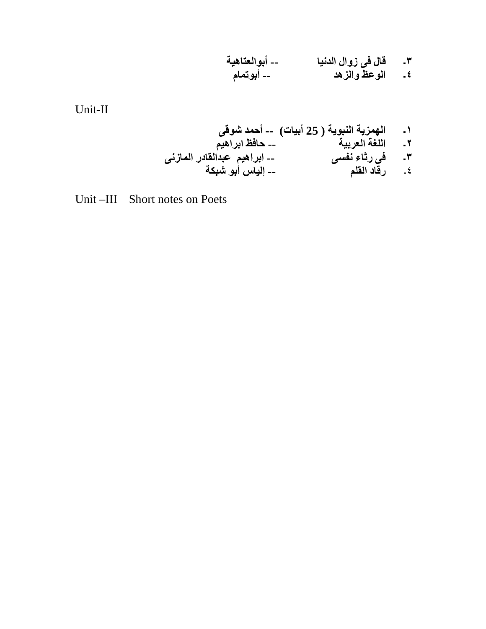**٣۔ قال فی زوال الدنیا -- أبوالعتاھیة ٤۔ الوعظ والزھد -- أبوتمام** 

Unit-II

**١۔ الھمزیة النبویة ( 25 أبیات) -- أحمد شوقى ٢۔ اللغة العربیة -- حافظ ابراھیم ٣۔ فى رثاء نفسى -- ابراھیم عبدالقادر المازنى**  ٤۔ **رقاد القلم -- إلیاس أبو شبكة** 

Unit –III Short notes on Poets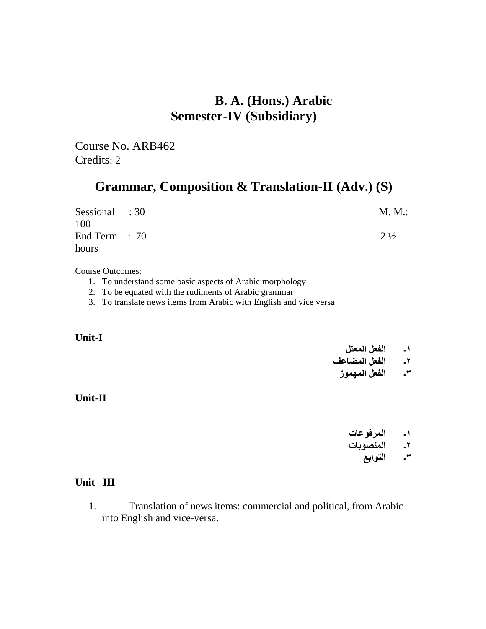# **B. A. (Hons.) Arabic Semester-IV (Subsidiary)**

Course No. ARB462 Credits: 2

# **Grammar, Composition & Translation-II (Adv.) (S)**

| Sessional : 30         | M. M.:           |
|------------------------|------------------|
| 100<br>End Term $: 70$ | $2\frac{1}{2}$ - |
| hours                  |                  |

Course Outcomes:

- 1. To understand some basic aspects of Arabic morphology
- 2. To be equated with the rudiments of Arabic grammar
- 3. To translate news items from Arabic with English and vice versa

### **Unit-I**

### **١۔ الفعل المعتل**

### **٢۔ الفعل المضاعف**

### **٣۔ الفعل المھموز**

### **Unit-II**

- **١۔ المرفوعات**
- **٢۔ المنصوبات**
	- **٣۔ التوابع**

### **Unit –III**

1. Translation of news items: commercial and political, from Arabic into English and vice-versa.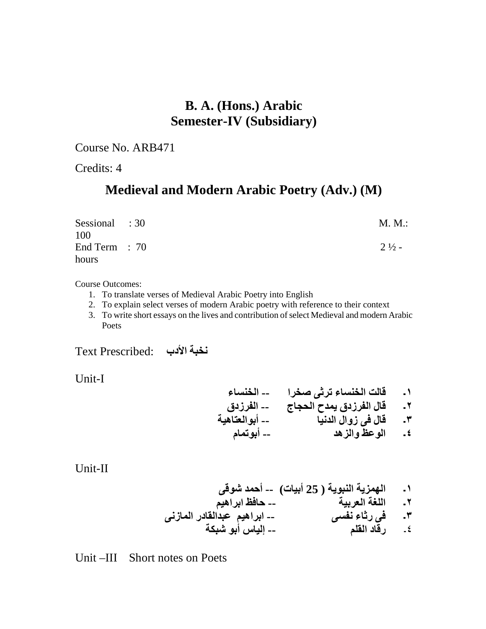# **B. A. (Hons.) Arabic Semester-IV (Subsidiary)**

Course No. ARB471

Credits: 4

# **Medieval and Modern Arabic Poetry (Adv.) (M)**

| Sessional : 30<br>100 | M. M.:           |
|-----------------------|------------------|
| End Term : 70         | $2\frac{1}{2}$ - |
| hours                 |                  |

Course Outcomes:

- 1. To translate verses of Medieval Arabic Poetry into English
- 2. To explain select verses of modern Arabic poetry with reference to their context
- 3. To write short essays on the lives and contribution ofselect Medieval and modern Arabic Poets

**نخبة الأدب** :Prescribed Text

Unit-I

- **١۔ قالت الخنساء ترثی صخرا -- الخنساء ٢۔ قال الفرزدق یمدح الحجاج -- الفرزدق ٣۔ قال فی زوال الدنیا -- أبوالعتاھیة** 
	- **٤۔ الوعظ والزھد -- أبوتمام**

Unit-II

**١۔ الھمزیة النبویة ( 25 أبیات) -- أحمد شوقى ٢۔ اللغة العربیة -- حافظ ابراھیم ٣۔ فى رثاء نفسى -- ابراھیم عبدالقادر المازنى**  ٤۔ **رقاد القلم -- إلیاس أبو شبكة** 

Unit –III Short notes on Poets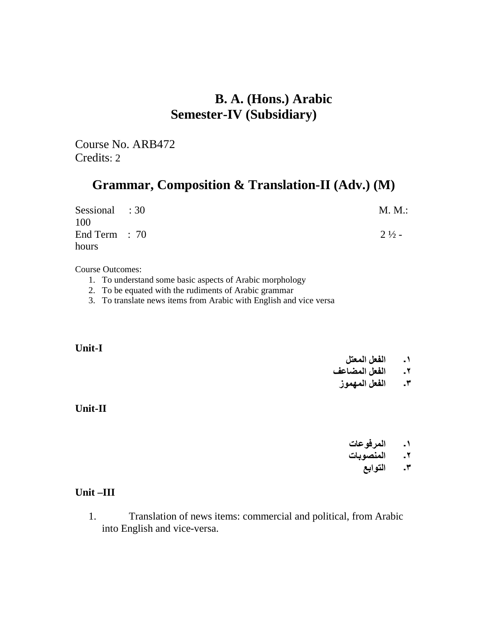# **B. A. (Hons.) Arabic Semester-IV (Subsidiary)**

Course No. ARB472 Credits: 2

# **Grammar, Composition & Translation-II (Adv.) (M)**

| Sessional : 30  | M. M.:           |
|-----------------|------------------|
| 100             |                  |
| End Term $: 70$ | $2\frac{1}{2}$ - |
| hours           |                  |

Course Outcomes:

- 1. To understand some basic aspects of Arabic morphology
- 2. To be equated with the rudiments of Arabic grammar
- 3. To translate news items from Arabic with English and vice versa

### **Unit-I**

### **١۔ الفعل المعتل**

### **٢۔ الفعل المضاعف**

**٣۔ الفعل المھموز**

### **Unit-II**

- **١۔ المرفوعات**
- **٢۔ المنصوبات**
	- **٣۔ التوابع**

### **Unit –III**

1. Translation of news items: commercial and political, from Arabic into English and vice-versa.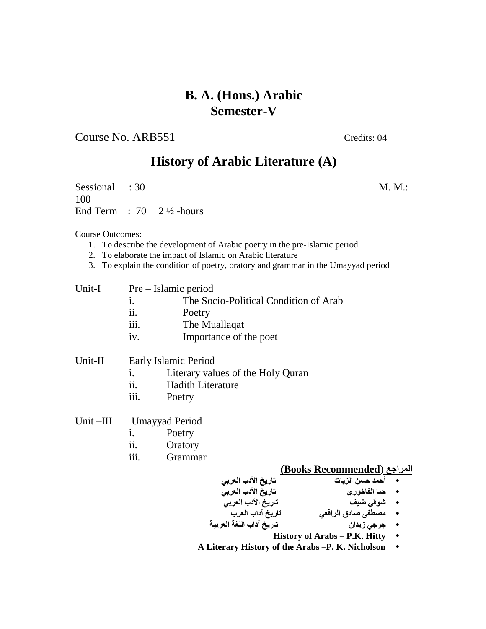### Course No. ARB551 Credits: 04

# **History of Arabic Literature (A)**

Sessional : 30 M.M.: 100 End Term :  $70 \quad 2\frac{1}{2}$ -hours

Course Outcomes:

- 1. To describe the development of Arabic poetry in the pre-Islamic period
- 2. To elaborate the impact of Islamic on Arabic literature
- 3. To explain the condition of poetry, oratory and grammar in the Umayyad period

| Pre – Islamic period |
|----------------------|
|                      |

- i. The Socio-Political Condition of Arab
- ii. Poetry
- iii. The Muallaqat
- iv. Importance of the poet

### Unit-II Early Islamic Period

- i. Literary values of the Holy Quran
- ii. Hadith Literature
- iii. Poetry
- Unit –III Umayyad Period
	- i. Poetry
	- ii. Oratory
	- iii. Grammar

### **(Books Recommended**) **المراجع**

- **أحمد حسن الزیات تاریخ الأدب العربي**
- **حنا الفاخوري تاریخ الأدب العربي**
- **شوقي ضیف تاریخ الأدب العربي** 
	- **مصطفى صادق الرافعي تاریخ آداب العرب**
- **جرجي زیدان تاریخ آداب اللغة العربیة** 
	- **History of Arabs – P.K. Hitty** •
- **A Literary History of the Arabs –P. K. Nicholson** •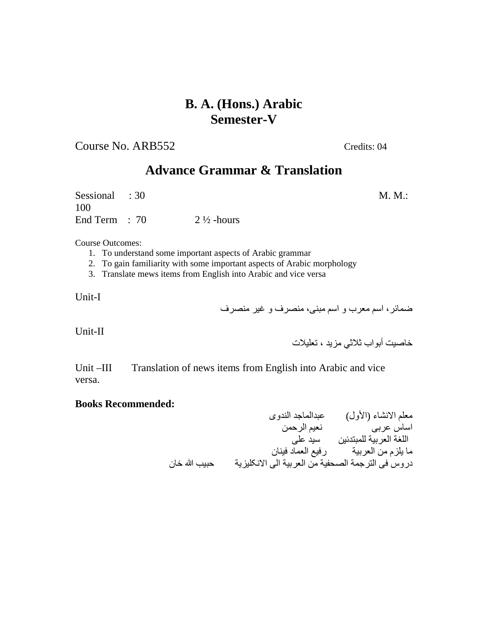Course No. ARB552 Credits: 04

# **Advance Grammar & Translation**

Sessional : 30 M.M.: 100 End Term :  $70$  2  $\frac{1}{2}$ -hours

Course Outcomes:

- 1. To understand some important aspects of Arabic grammar
- 2. To gain familiarity with some important aspects of Arabic morphology
- 3. Translate mews items from English into Arabic and vice versa

Unit-I

ضمائر، اسم معرب و اسم مبنی، منصرف و غیر منصرف

Unit-II

خاصیت أبواب ثلاثي مزید ، تعلیلات

Unit –III Translation of news items from English into Arabic and vice versa.

### **Books Recommended:**

معلم الانشاء (الأول) عبدالماجد الندوی اساس عربی نعیم الرحمن اللغة العربیة للمبتدئین سید علی ما یلزم من العربیة رفیع العماد فینان دروس فی الترجمة الصحفیة من العربیة الی الانکلیزیة حبیب الله خان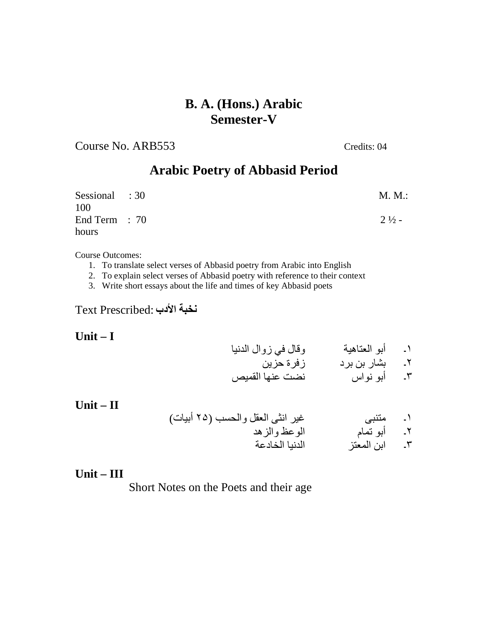Course No. ARB553 Credits: 04

# **Arabic Poetry of Abbasid Period**

| Sessional : 30  | M. M.:           |
|-----------------|------------------|
| 100             |                  |
| End Term $: 70$ | $2\frac{1}{2}$ - |
| hours           |                  |

Course Outcomes:

- 1. To translate select verses of Abbasid poetry from Arabic into English
- 2. To explain select verses of Abbasid poetry with reference to their context
- 3. Write short essays about the life and times of key Abbasid poets

**نخبة الأدب** :Prescribed Text

**Unit – I** 

**Unit – II** 

١۔ أبو العتاھیة وقال في زوال الدنیا ٢۔ بشار بن برد زفرة حزین

٣۔ أبو نواس نضت عنھا القمیص

١۔ متنبی غیر انثی العقل والحسب (٢۵ أبیات) ٢۔ أبو تمام الوعظ والزھد

٣۔ ابن المعتز الدنیا الخادعة

### **Unit – III**

Short Notes on the Poets and their age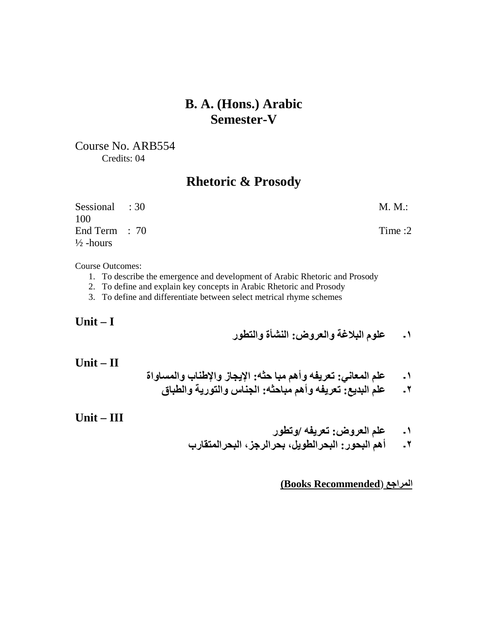Course No. ARB554 Credits: 04

# **Rhetoric & Prosody**

| Sessional : 30       | $M. M.$ : |
|----------------------|-----------|
| 100                  |           |
| End Term $: 70$      | Time :2   |
| $\frac{1}{2}$ -hours |           |

Course Outcomes:

- 1. To describe the emergence and development of Arabic Rhetoric and Prosody
- 2. To define and explain key concepts in Arabic Rhetoric and Prosody
- 3. To define and differentiate between select metrical rhyme schemes

**Unit – I** 

**١۔ علوم البلاغة والعروض: النشأة والتطور**

**Unit – II** 

- **١۔ علم المعاني: تعریفھ وأھم مبا حثھ: الإیجاز والإطناب والمساواة** 
	- **٢۔ علم البدیع: تعریفھ وأھم مباحثھ: الجناس والتوریة والطباق**

**Unit – III** 

- **١۔ علم العروض: تعریفھ /وتطور**
- **٢۔ أھم البحور: البحرالطویل، بحرالرجز، البحرالمتقارب**

**(Books Recommended**) **المراجع**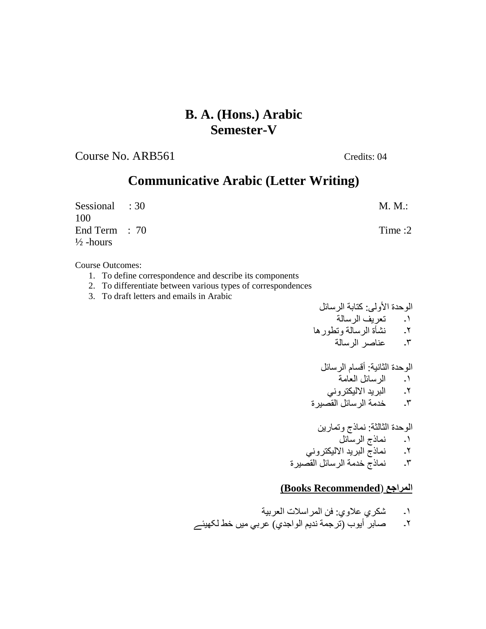Course No. ARB561 Credits: 04

# **Communicative Arabic (Letter Writing)**

| Sessional : 30       | $M. M.$ : |
|----------------------|-----------|
| 100                  |           |
| End Term $: 70$      | Time $:2$ |
| $\frac{1}{2}$ -hours |           |

Course Outcomes:

- 1. To define correspondence and describe its components
- 2. To differentiate between various types of correspondences
- 3. To draft letters and emails in Arabic

الوحدة الأولى: كتابة الرسائل ١۔ تعریف الرسالة ٢۔ نشأة الرسالة وتطورھا ٣۔ عناصر الرسالة

الوحدة الثانیة: أقسام الرسائل ١۔ الرسائل العامة ٢۔ البرید الالیكتروني ٣۔ خدمة الرسائل القصیرة

الوحدة الثالثة: نماذج وتمارین ١۔ نماذج الرسائل ٢۔ نماذج البرید الالیكتروني ٣۔ نماذج خدمة الرسائل القصیرة

### **(Books Recommended**) **المراجع**

١۔ شكري علاوي: فن المراسلات العربیة

٢۔ صابر أیوب (ترجمة ندیم الواجدي) عربي میں خط لکھیئے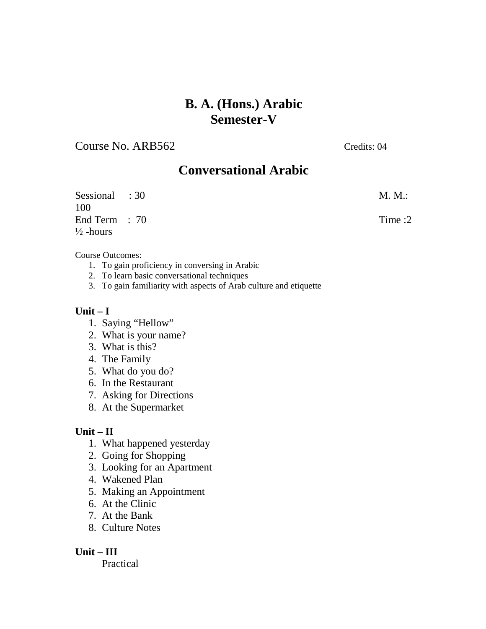Course No. ARB562 Credits: 04

# **Conversational Arabic**

Sessional : 30 M.M.: 100 End Term : 70 Time : 2  $\frac{1}{2}$ -hours

### Course Outcomes:

- 1. To gain proficiency in conversing in Arabic
- 2. To learn basic conversational techniques
- 3. To gain familiarity with aspects of Arab culture and etiquette

### **Unit – I**

- 1. Saying "Hellow"
- 2. What is your name?
- 3. What is this?
- 4. The Family
- 5. What do you do?
- 6. In the Restaurant
- 7. Asking for Directions
- 8. At the Supermarket

### **Unit – II**

- 1. What happened yesterday
- 2. Going for Shopping
- 3. Looking for an Apartment
- 4. Wakened Plan
- 5. Making an Appointment
- 6. At the Clinic
- 7. At the Bank
- 8. Culture Notes

### **Unit – III**

Practical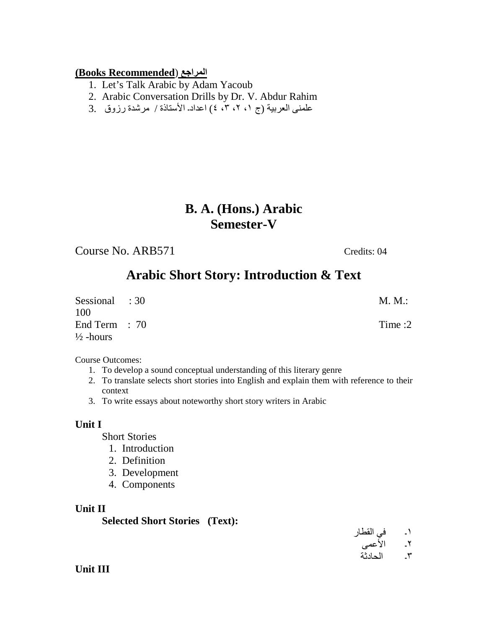### **(Books Recommended**) **المراجع**

- 1. Let's Talk Arabic by Adam Yacoub
- 2. Arabic Conversation Drills by Dr. V. Abdur Rahim
- علمنی العربیة (ج ،١ ،٢ ،٣ ٤) اعداد۔ الأستاذة / مرشدة رزوق 3.

# **B. A. (Hons.) Arabic Semester-V**

Course No. ARB571 Credits: 04

# **Arabic Short Story: Introduction & Text**

Sessional : 30 M.M.: 100 End Term : 70 Time :2  $\frac{1}{2}$ -hours

Course Outcomes:

- 1. To develop a sound conceptual understanding of this literary genre
- 2. To translate selects short stories into English and explain them with reference to their context
- 3. To write essays about noteworthy short story writers in Arabic

### **Unit I**

Short Stories

- 1. Introduction
- 2. Definition
- 3. Development
- 4. Components

### **Unit II**

**Selected Short Stories (Text):** 

١۔ في القطار ٢۔ الأعمی ٣۔ الحادثة

**Unit III**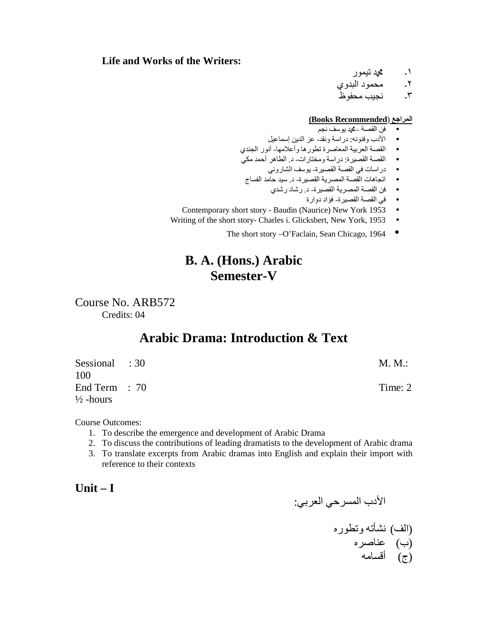### **Life and Works of the Writers:**

١۔ محمد تیمور

٢۔ محمود البدوي

٣۔ نجیب محفوظ

### **(Books Recommended**) **المراجع**

- فن القصة –محمد یوسف نجم
- الأدب وفنونھ: دراسة ونقد- عز الدین إسماعیل
- القصة العربیة المعاصرة تطورھا وأعلامھا- أنور الجندي
- القصة القصیرة: دراسة ومختارات- د. الطاھر أحمد مكي
	- دراسات في القصة القصیرة- یوسف الشاروني
- اتجاھات القصة المصریة القصیرة- د. سید حامد الفساج
	- فن القصة المصریة القصیرة- د. رشاد رشدي
		- في القصة القصیرة- فؤاد دوارة
- Contemporary short story Baudin (Naurice) New York 1953 •
- Writing of the short story- Charles i. Glicksbert, New York, 1953
	- The short story –O'Faclain, Sean Chicago, 1964 ●

# **B. A. (Hons.) Arabic Semester-V**

Course No. ARB572 Credits: 04

# **Arabic Drama: Introduction & Text**

Sessional : 30 M.M.: 100 End Term : 70 Time: 2  $\frac{1}{2}$ -hours

Course Outcomes:

- 1. To describe the emergence and development of Arabic Drama
- 2. To discuss the contributions of leading dramatists to the development of Arabic drama
- 3. To translate excerpts from Arabic dramas into English and explain their import with reference to their contexts

**Unit – I** 

الأدب المسرحي العربي:

(الف) نشأتھ وتطوره (ب) عناصره (ج) أقسامھ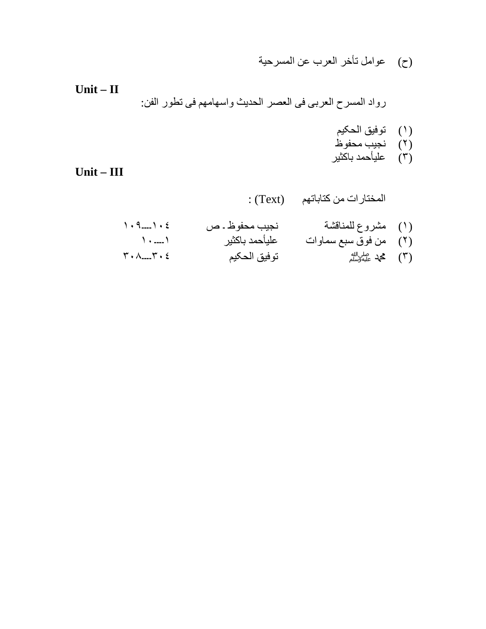(ح) عوامل تأخر العرب عن المسرحیة

**Unit – II**  رواد المسرح العربی فی العصر الحدیث واسھامھم فی تطور الفن:

- (١) توفیق الحکیم (٢) نجیب محفوظ
- (٣) علیأحمد باکثیر

**Unit – III** 

المختارات من کتاباتھم (Text (:

(١) مشروع للمناقشة نجیب محفوظ ۔ ص ١٠٤۔۔۔۔١٠٩ (٢) من فوق سبع سماوات علیأحمد باکثیر ١۔۔۔۔١٠ (٣) محمدصلى الله عليه وسلم توفیق الحکیم ٣٠٤۔۔۔۔٣٠٨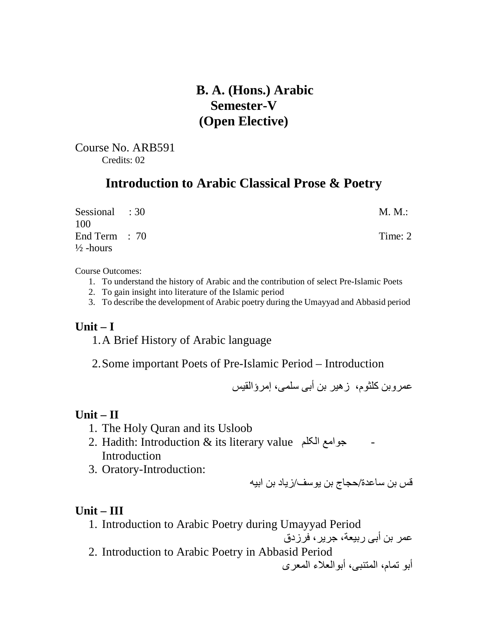# **B. A. (Hons.) Arabic Semester-V (Open Elective)**

Course No. ARB591 Credits: 02

# **Introduction to Arabic Classical Prose & Poetry**

| Sessional : 30<br>100                   | M. M.:  |
|-----------------------------------------|---------|
| End Term $: 70$<br>$\frac{1}{2}$ -hours | Time: 2 |

Course Outcomes:

- 1. To understand the history of Arabic and the contribution of select Pre-Islamic Poets
- 2. To gain insight into literature of the Islamic period
- 3. To describe the development of Arabic poetry during the Umayyad and Abbasid period

### **Unit – I**

1.A Brief History of Arabic language

2.Some important Poets of Pre-Islamic Period – Introduction

عمروبن کلثوم، زھیر بن أبی سلمی، إمرؤالقیس

### **Unit – II**

- 1. The Holy Quran and its Usloob
- 2. Hadith: Introduction & its literary value جوامع الکلم Introduction
- 3. Oratory-Introduction:

قس بن ساعدة/حجاج بن یوسف/زیاد بن ابیھ

### **Unit – III**

1. Introduction to Arabic Poetry during Umayyad Period

عمر بن أبی ربیعة، جریر، فرزدق

2. Introduction to Arabic Poetry in Abbasid Period

أبو تمام، المتنبی، أبوالعلاء المعری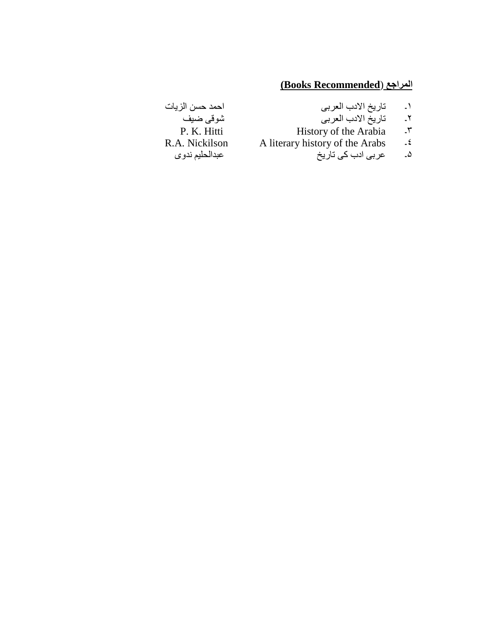# **(Books Recommended**) **المراجع**

- 
- 
- 
- R.A. Nickilson  $\overline{A}$  literary history of the Arabs  $\cdot \overline{z}$ 
	- ۵۔ عربی ادب کی تاریخ عبدالحلیم ندوی
- ١۔ تاریخ الادب العربی احمد حسن الزیات ٢۔ تاریخ الادب العربی شوقی ضیف P. K. Hitti History of the Arabia - ٣<br>R.A. Nickilson A literary history of the Arabs - ٤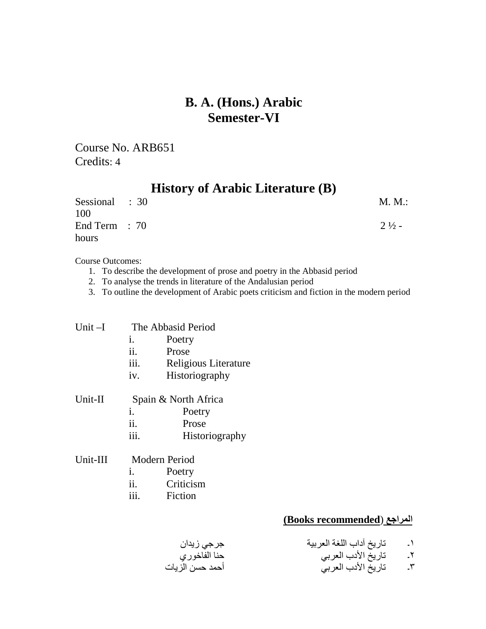Course No. ARB651 Credits: 4

| <b>History of Arabic Literature (B)</b> |  |                  |
|-----------------------------------------|--|------------------|
| Sessional : 30                          |  | M. M.:           |
| 100<br>End Term $: 70$                  |  | $2\frac{1}{2}$ – |
| hours                                   |  |                  |

Course Outcomes:

- 1. To describe the development of prose and poetry in the Abbasid period
- 2. To analyse the trends in literature of the Andalusian period
- 3. To outline the development of Arabic poets criticism and fiction in the modern period

| Unit-I   |                  | The Abbasid Period   |  |  |
|----------|------------------|----------------------|--|--|
|          | 1.               | Poetry               |  |  |
|          | ii.              | Prose                |  |  |
|          | iii.             | Religious Literature |  |  |
|          | iv.              | Historiography       |  |  |
| Unit-II  |                  | Spain & North Africa |  |  |
|          | i.               | Poetry               |  |  |
|          | ii.              | Prose                |  |  |
|          | iii.             | Historiography       |  |  |
| Unit-III |                  | Modern Period        |  |  |
|          | i.               | Poetry               |  |  |
|          | ii.<br>Criticism |                      |  |  |

iii. Fiction

### **(Books recommended**) **المراجع**

١۔ تاریخ آداب اللغة العربیة جرجي زیدان ٢۔ تاریخ الأدب العربي حنا الفاخوري ٣۔ تاریخ الأدب العربي أحمد حسن الزیات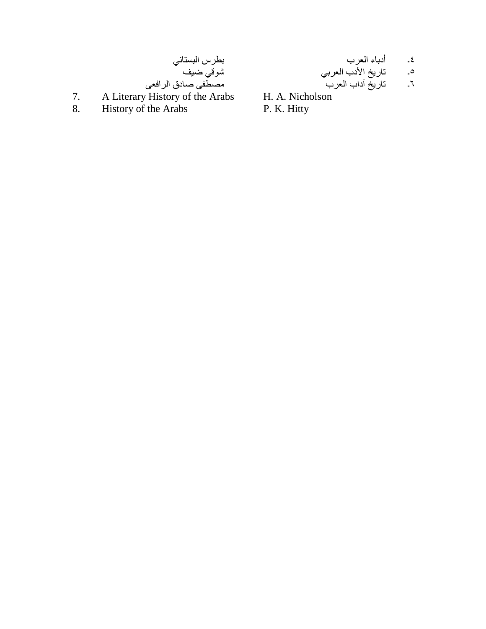ني البستا س بطر ضیف شوقي الرافعی ق صاد مصطفی

ب العر ء أدبا ۔ ٤ بي العر ب الأد یخ تار ۔ ٥ ب العر داب آ یخ تار ۔ ٦

A Literary History of the Arabs

8 . History of the Arabs

7 .

H. A. Nicholson P. K. Hitty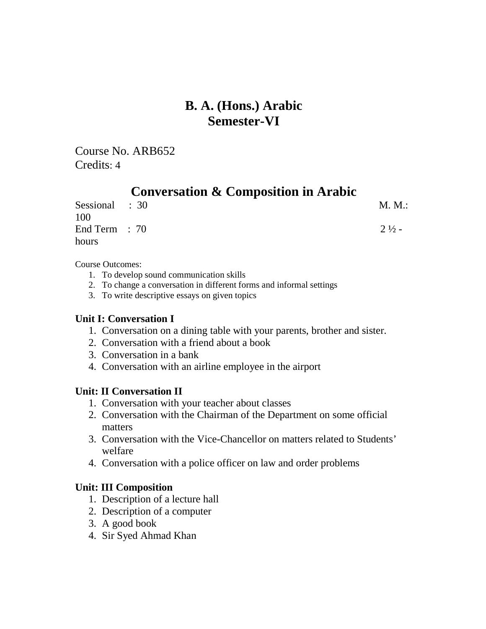Course No. ARB652 Credits: 4

# **Conversation & Composition in Arabic**

| Sessional : 30  | M. M.:           |
|-----------------|------------------|
| 100             |                  |
| End Term $: 70$ | $2\frac{1}{2}$ - |
| hours           |                  |

Course Outcomes:

- 1. To develop sound communication skills
- 2. To change a conversation in different forms and informal settings
- 3. To write descriptive essays on given topics

### **Unit I: Conversation I**

- 1. Conversation on a dining table with your parents, brother and sister.
- 2. Conversation with a friend about a book
- 3. Conversation in a bank
- 4. Conversation with an airline employee in the airport

### **Unit: II Conversation II**

- 1. Conversation with your teacher about classes
- 2. Conversation with the Chairman of the Department on some official matters
- 3. Conversation with the Vice-Chancellor on matters related to Students' welfare
- 4. Conversation with a police officer on law and order problems

### **Unit: III Composition**

- 1. Description of a lecture hall
- 2. Description of a computer
- 3. A good book
- 4. Sir Syed Ahmad Khan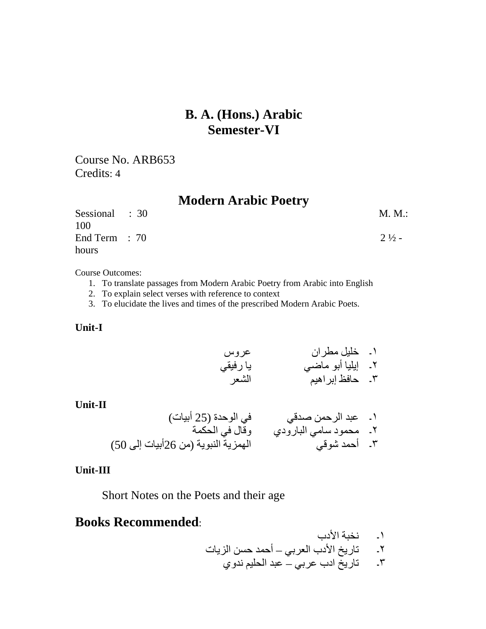Course No. ARB653 Credits: 4

### **Modern Arabic Poetry**

| Sessional : 30  | M. M.:           |
|-----------------|------------------|
| 100             |                  |
| End Term $: 70$ | $2\frac{1}{2}$ - |
| hours           |                  |

Course Outcomes:

- 1. To translate passages from Modern Arabic Poetry from Arabic into English
- 2. To explain select verses with reference to context
- 3. To elucidate the lives and times of the prescribed Modern Arabic Poets.

### **Unit-I**

١۔ خلیل مطران عروس ٢۔ إیلیا أبو ماضي یا رفیقي ٣۔ حافظ إبراھیم الشعر

### **Unit-II**

١۔ عبد الرحمن صدقي في الوحدة (25 أبیات) ٢۔ محمود سامي البارودي وقال في الحكمة ٣۔ أحمد شوقي الھمزیة النبویة (من 26أبیات إلى 50)

### **Unit-III**

Short Notes on the Poets and their age

# **Books Recommended**:

- ١۔ نخبة الأدب
- ٢۔ تاریخ الأدب العربي أحمد حسن الزیات

٣۔ تاریخ ادب عربي – عبد الحلیم ندوي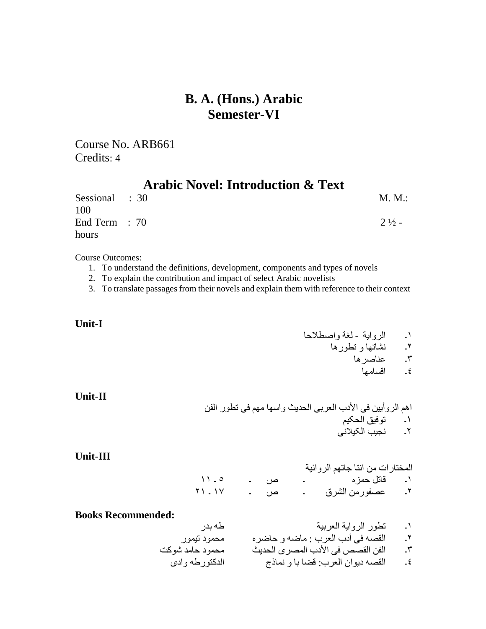Course No. ARB661 Credits: 4

# **Arabic Novel: Introduction & Text**

| Sessional : 30 | M. M.:           |
|----------------|------------------|
| 100            |                  |
| End Term : 70  | $2\frac{1}{2}$ - |
| hours          |                  |

Course Outcomes:

- 1. To understand the definitions, development, components and types of novels
- 2. To explain the contribution and impact of select Arabic novelists

3. To translate passagesfrom their novels and explain them with reference to their context

### **Unit-I**

- ١۔الروایة لغة واصطلاحا
	- ٢۔ نشاتھا و تطورھا
		- ۔<br>۳۔ عناصرہا<br>٤۔ اقسامھا
			- ٤۔ اقسامھا

**Unit-II** 

اھم الروأیین فی الأدب العربی الحدیث واسھا مھم فی تطور الفن ١۔ توفیق الحکیم ٢۔ نجیب الکیلانی

**Unit-III**

|                   |     | المختارات من انتا جاتهم الروائية |  |
|-------------------|-----|----------------------------------|--|
| 11.0              | ص ۔ | ١. قاتل حمز ه د -                |  |
| $Y$ $\cup$ $\cup$ | ص ۔ | ٢. عصفورمن الشرق                 |  |

### **Books Recommended:**

| ded:            |                                   |         |
|-----------------|-----------------------------------|---------|
| طه بدر          | تطور الرواية العربية              | $\cdot$ |
| محمود تيمور     | القصه في أدب العرب : ماضه و حاضره | ۲.      |
| محمود حامد شوكت | الفن القصص في الأدب المصرى الحديث | ۳.      |
| الدكتورطه وادى  | القصه ديوان العرب: قضا با و نماذج | - ٤     |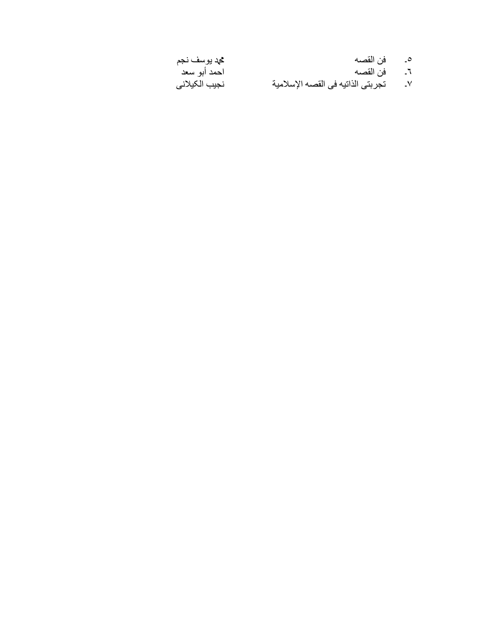| محد بوسف نجم  | فن القصه                          | $\overline{\phantom{a}}$ |
|---------------|-----------------------------------|--------------------------|
| احمد أبو سعد  | فن القصـه                         | $\mathcal{L}$            |
| نجيب الكيلاني | تجربتي الذاتيه في القصه الإسلامية | $\mathsf{V}$             |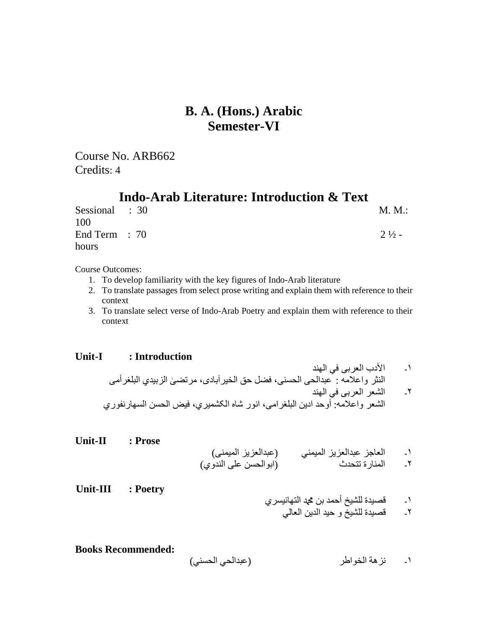Course No. ARB662 Credits: 4

### **Indo-Arab Literature: Introduction & Text**

| Sessional : 30  | M. M.:           |
|-----------------|------------------|
| 100             |                  |
| End Term $: 70$ | $2\frac{1}{2}$ - |
| hours           |                  |

Course Outcomes:

- 1. To develop familiarity with the key figures of Indo-Arab literature
- 2. To translate passages from select prose writing and explain them with reference to their context
- 3. To translate select verse of Indo-Arab Poetry and explain them with reference to their context

### **Unit-I : Introduction**

- ١۔ الأدب العربی في الھند النثر واعلامھ : عبدالحی الحسنی، فضل حق الخیرآبادی، مرتضٰی الزبیدي البلغرأمی ٢۔ الشعر العربی في الھند
- الشعر واعلامھ: أوحد ادین البلغرامی، انور شاه الکشمیري، فیض الحسن السھارنفوري

| Unit-II | : Prose |                                              |                          |               |
|---------|---------|----------------------------------------------|--------------------------|---------------|
|         |         | (عبدالعزيز الميمني)<br>(ابوالحسن على الندوي) | العاجز عبدالعزيز الميمني | $\rightarrow$ |
|         |         |                                              |                          |               |

**Unit-III : Poetry**

- ١۔ قصیدة للشیخ أحمد بن محمد التھانیسري ٢۔ قصیدة للشیخ و حید الدین العالي
- **Books Recommended:**  ١۔ نزھة الخواطر (عبدالحي الحسني)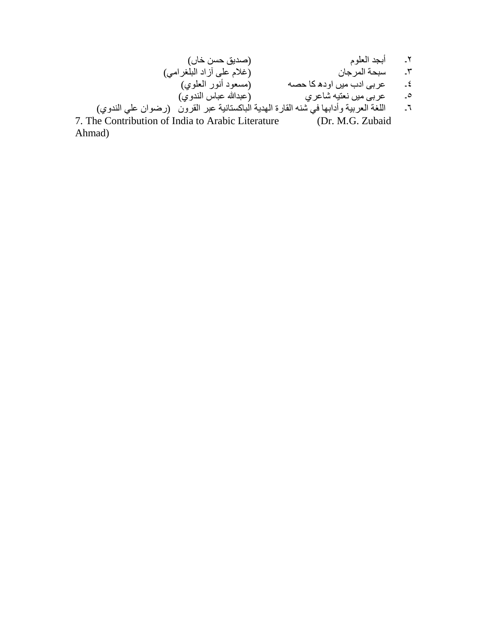٢۔ أبجد العلوم (صدیق حسن خاں) ٣۔ سبحة المرجان (غلام على آزاد البلغرامي)<br>٤۔ عربي ادب ميں اودھ كا حصه (مسعود أنور العلوي) عربی ادب میں اودھ کا حصـه (مسعود أنور العلوي)<br>عربی میں نعتیه شاعري ٥۔ عربي ميں نعتيه شاعري ٦۔ اللغة العربیة وأدابھا في شنھ القارة الھدیة الباکستانیة عبر القرون (رضوان علي الندوي)

7. The Contribution of India to Arabic Literature (Dr. M.G. Zubaid Ahmad)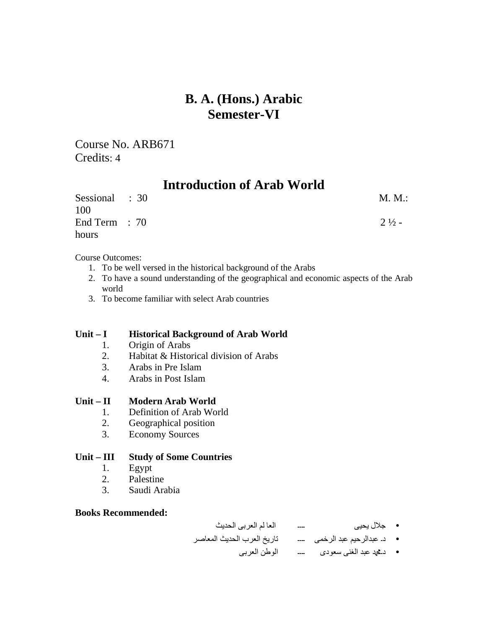Course No. ARB671 Credits: 4

# **Introduction of Arab World**

| Sessional : 30 | M. M.:           |
|----------------|------------------|
| 100            |                  |
| End Term : 70  | $2\frac{1}{2}$ - |
| hours          |                  |

Course Outcomes:

- 1. To be well versed in the historical background of the Arabs
- 2. To have a sound understanding of the geographical and economic aspects of the Arab world
- 3. To become familiar with select Arab countries

### **Unit – I Historical Background of Arab World**

- 1. Origin of Arabs
- 2. Habitat & Historical division of Arabs
- 3. Arabs in Pre Islam
- 4. Arabs in Post Islam

### **Unit – II Modern Arab World**

- 1. Definition of Arab World
- 2. Geographical position
- 3. Economy Sources

### **Unit – III Study of Some Countries**

- 1. Egypt
- 2. Palestine
- 3. Saudi Arabia

### **Books Recommended:**

- جلال یحیی ۔۔۔۔ العا لم العربی الحدیث
- د۔ عبدالرحیم عبد الرخمی ۔۔۔۔ تاریخ العرب الحدیث المعاصر
	- د۔محمد عبد الغنی سعودی ۔۔۔۔ الوطن العربی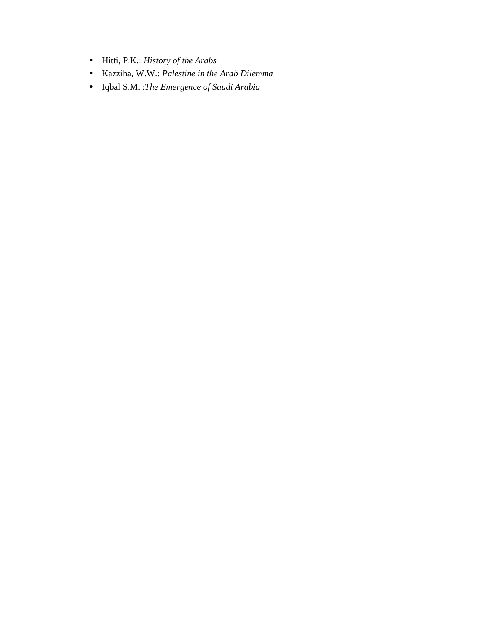- Hitti, P.K.: *History of the Arabs*
- Kazziha, W.W.: *Palestine in the Arab Dilemma*
- Iqbal S.M. :*The Emergence of Saudi Arabia*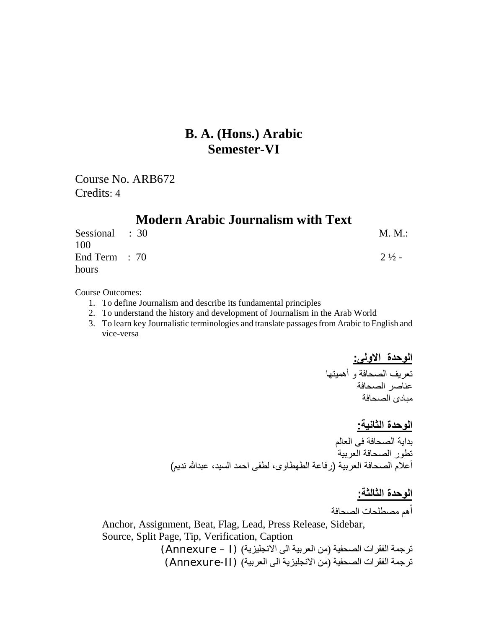Course No. ARB672 Credits: 4

|                          | <b>Modern Arabic Journalism with Text</b> |                  |
|--------------------------|-------------------------------------------|------------------|
| Sessional : 30<br>100    |                                           | M. M.:           |
| End Term $: 70$<br>hours |                                           | $2\frac{1}{2}$ - |

Course Outcomes:

- 1. To define Journalism and describe its fundamental principles
- 2. To understand the history and development of Journalism in the Arab World
- 3. To learn key Journalistic terminologies and translate passagesfrom Arabic to English and vice-versa

**الوحدة الاولی:**  تعریف الصحافة و أھمیتھا عناصر الصحافة مبادی الصحافة

**الوحدة الثانیة:**  بدایة الصحافة فی العالم تطور الصحافة العربیة أعلام الصحافة العربیة (رفاعة الطھطاوی، لطفی احمد السید، عبدالله ندیم)

# **الوحدة الثالثة:**

أھم مصطلحات الصحافة

Anchor, Assignment, Beat, Flag, Lead, Press Release, Sidebar, Source, Split Page, Tip, Verification, Caption

> ترجمة الفقرات الصحفیة (من العربیة الی الانجلیزیة) (I – Annexure ( ترجمة الفقرات الصحفیة (من الانجلیزیة الی العربیة) (II-Annexure(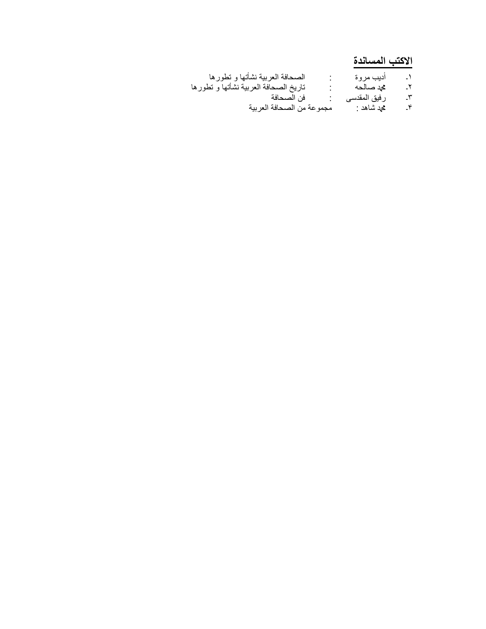# **الاکتب المساندة**

| الصحافة العربية نشأتها و تطورها       | أديب مروة     | $\cdot$ |
|---------------------------------------|---------------|---------|
| تاريخ الصحافة العربية نشأتها و تطورها | ثحد صالحه     | ـ۲.     |
| فن الصحافة                            | ر فيق المقدسي | -٣      |
| مجموعة من الصحافة العربية             | محد شاهد :    | ۴.      |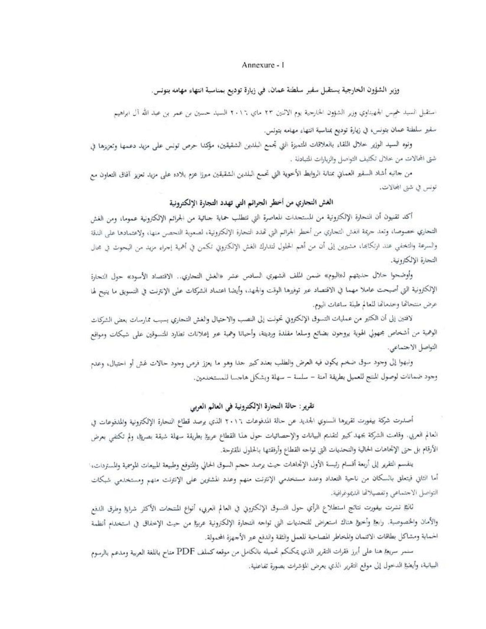### Annexure - I

### وزير الشؤون الخارجية يستقبل سفير سلطنة عمان، في زيارة توديع بمناسبة انتهاء مهامه بتونس.

استقبل السيد خميس الجهيناوي وزير الشؤون الخارجية يوم الاثنين ٢٣ ماي ٢٠١٢ السيد حسين بن عمر بن عبد الله آل ابراهيم

سفير سلطنة عمان بنونس، في زيارة توديع بمناسبة انتهاء مهامه بتونس.

ونوه السيد الوزير خلال اللقاء بالعلاقات المتميزة التي تجمع البلدين الشقيقين، مؤكدا حرص تونس على مزيد دعمها وتعزيزها في شتى المحالات من خلال تكثيف التواصل والزيارات المتبادلة .

من حانبه أشاد السفير العماني بمنانة الروابط الأخوية التي تحمع البلدين الشقيقين ميرزا عزم بلاده على مزيد تعزيز آفاق التعاون مع تونس في شتى المحالات.

### الغش التجاري من أخطر الجرائم التي تهدد التجارة الإلكترونية

أكد ثقنيون أن النحارة الإلكترونية من المستجدات المعاصرة التي تتطلب حماية جنائية من الجرائم الإلكترونية عموما، ومن الغش التجاري خصوصا، وتعد جريمة الغش التجاري من أخطر الجراثم التي تحدد التجارة الإلكترونية، لصعوبة التحصن منها، ولاعتمادها على النقة والسرعة والتخفي عند ارتكابتما، مشيرين إلى أن من أهم الحلول لتدارك الغش الإلكتروني تكمن في أهمية إجراء مزيد من البحوث في مجال التجارة الالكترونية.

وأوضحوا خلال حديثهم لـ«اليوم» ضمن الملف الشهري السادس عشر «الغش التحاري.. الاقتصاد الأسود» حول التحارة الإلكترونية التي أصبحت عاملا مهما في الاقتصاد عبر توفيرها الوقت والجهد، وأيضا اعتماد الشركات على الإنترنت في التسويق ما ينيح لها عرض منتحاتها وخدماتها للعالم طبلة ساعات اليوم.

لافتين إلى أن الكثير من عمليات التسوق الإلكتروني تحولت إلى النصب والاحتيال والغش التجاري يسبب ممارسات بعض الشركات الوهمية من أشخاص مجهولي الهوية يروجون بضائع وسلعا مقلدة ورديثة، وأحيانا وهمية عبر إعلانات تطارد المتسوقين على شبكات ومواقع التواصل الاجتماعي.

ونبهوا إلى وجود سوق ضخم يكون قيه العرض والطلب بعدد كبير حدا وهو ما يعزز فرص وجود حالات غش أو احتيال، وعدم وجود ضمانات لوصول للنتج للعميل بطريقة آمنة – سلسة – سهلة وبشكل هاجسا للمستخدمين.

### تقرير : حالة التجارة الإلكترونية في العالم العربي

أصدرت شركة بيفورت تقريرها السنوي الجديد عن حالة المدفوعات ٢٠١٦ الذي يرصد قطاع التحارة الإلكترونية والمدفوعات في العالم العربي. وقامت الشركة بجهد كبير لتقليم البيانات والإحصائيات حول هذا القطاع عربيٌّ بطريقة سهلة شيقة بصريئا، ولم تكتفي بعرض الأرقام بل حتى الإتحاهات الحالية والتحديات التي تواجه القطاع وأرفقتها بالحلول المقترحة.

ينفسم التقرير إلى أربعة أقسام رئيسة الأول الإتجاهات حيث يرصد ححم السوق الحالي وللتوقع وطبيعة الميعات الموحمية والمستردات، أما الثاني فيتعلق بالسكان من ناحية التعداد وعدد مستخدمي الإنترنت منهم وعدد المشترين على الإنترنت منهم ومستخدمي شبكات التواصل الاجتماعي وتفصيلاتها الليموغرافية.

ثانيًا نشرت بيفورت نتائج استطلاع الرأي حول التسوق الإلكتروي في العالم العربي، أنواع المنتحات الأكثر شرايما وطرق الدفع والأمان والخصوصية. رابع! وأخيرًا هناك استعراض للتحديات التي تواجه التحارة الإلكترونية عربيًا من حيث الإخفاق في استخدام أنظمة الحماية ومشاكل بطاقات الالتمان والمحاطر المصاحبة للعمل والثقة والدفع عبر الأجهزة المحمولة.

سنمر سريغ! هنا على أبرز فقرات التقرير الذي يمكنكم تحميله بالكامل من موقعه كملف PDF متاح باللغة العربية ومدعم بالرسوم السيانية، وأيضيًّا الدخول إلى موقع التقرير الذي يعرض المؤشرات بصورة تفاعلية.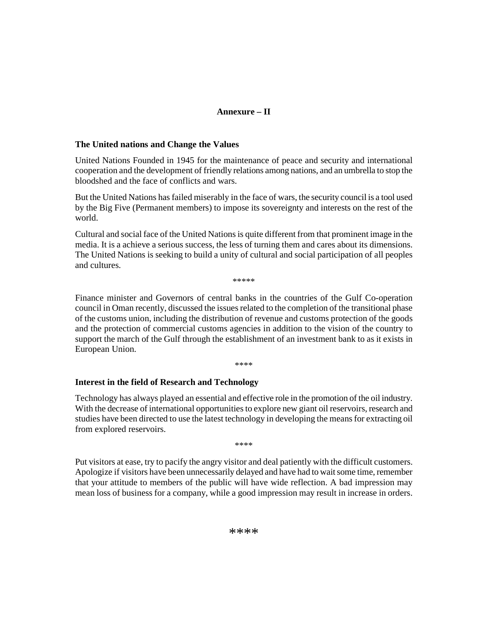### **Annexure – II**

### **The United nations and Change the Values**

United Nations Founded in 1945 for the maintenance of peace and security and international cooperation and the development of friendly relations among nations, and an umbrella to stop the bloodshed and the face of conflicts and wars.

But the United Nations has failed miserably in the face of wars, the security council is a tool used by the Big Five (Permanent members) to impose its sovereignty and interests on the rest of the world.

Cultural and social face of the United Nations is quite different from that prominent image in the media. It is a achieve a serious success, the less of turning them and cares about its dimensions. The United Nations is seeking to build a unity of cultural and social participation of all peoples and cultures.

\*\*\*\*\*

Finance minister and Governors of central banks in the countries of the Gulf Co-operation council in Oman recently, discussed the issuesrelated to the completion of the transitional phase of the customs union, including the distribution of revenue and customs protection of the goods and the protection of commercial customs agencies in addition to the vision of the country to support the march of the Gulf through the establishment of an investment bank to as it exists in European Union.

\*\*\*\*

### **Interest in the field of Research and Technology**

Technology has always played an essential and effective role in the promotion of the oil industry. With the decrease of international opportunities to explore new giant oil reservoirs, research and studies have been directed to use the latest technology in developing the meansfor extracting oil from explored reservoirs.

\*\*\*\*

Put visitors at ease, try to pacify the angry visitor and deal patiently with the difficult customers. Apologize if visitors have been unnecessarily delayed and have had to waitsome time, remember that your attitude to members of the public will have wide reflection. A bad impression may mean loss of business for a company, while a good impression may result in increase in orders.

\*\*\*\*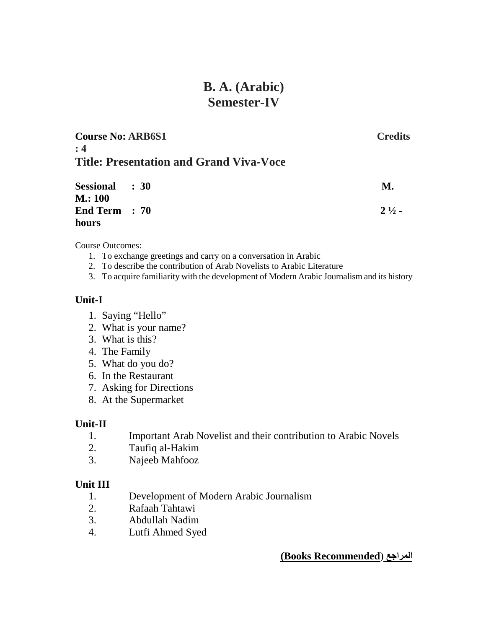# **B. A. (Arabic) Semester-IV**

| <b>Course No: ARB6S1</b>                       | <b>Credits</b> |  |
|------------------------------------------------|----------------|--|
| : 4<br>Title: Presentation and Grand Viva-Voce |                |  |
| <b>Sessional : 30</b>                          | M.             |  |

| Sessional : 30 | M.               |
|----------------|------------------|
| M.: 100        |                  |
| End Term : 70  | $2\frac{1}{2}$ - |
| hours          |                  |

Course Outcomes:

- 1. To exchange greetings and carry on a conversation in Arabic
- 2. To describe the contribution of Arab Novelists to Arabic Literature
- 3. To acquire familiarity with the development of Modern Arabic Journalism and its history

### **Unit-I**

- 1. Saying "Hello"
- 2. What is your name?
- 3. What is this?
- 4. The Family
- 5. What do you do?
- 6. In the Restaurant
- 7. Asking for Directions
- 8. At the Supermarket

### **Unit-II**

- 1. Important Arab Novelist and their contribution to Arabic Novels
- 2. Taufiq al-Hakim
- 3. Najeeb Mahfooz

### **Unit III**

- 1. Development of Modern Arabic Journalism
- 2. Rafaah Tahtawi
- 3. Abdullah Nadim
- 4. Lutfi Ahmed Syed

### **(Books Recommended**) **المراجع**